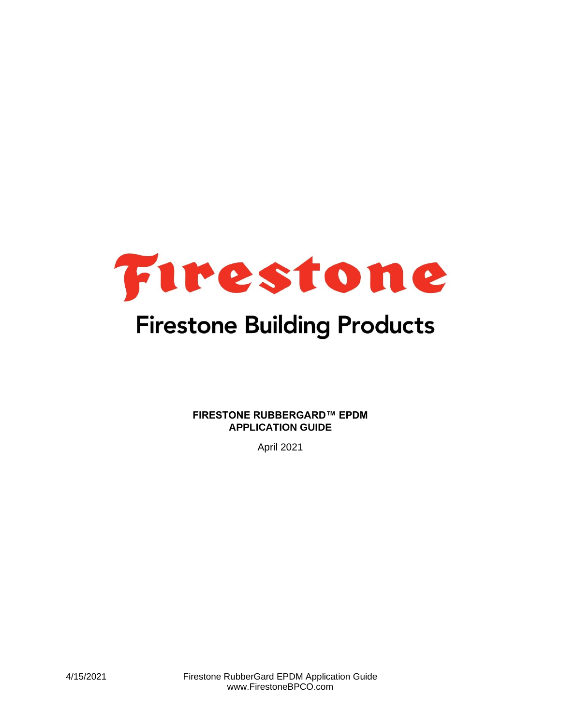

# **Firestone Building Products**

**FIRESTONE RUBBERGARD™ EPDM APPLICATION GUIDE**

April 2021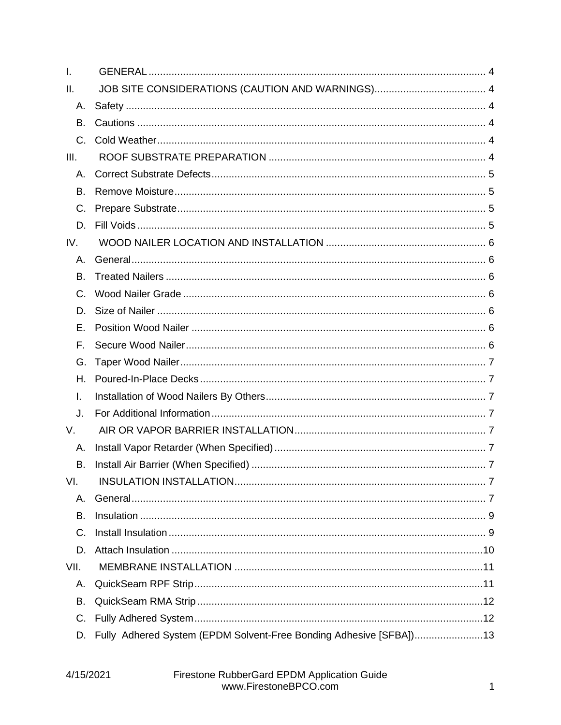| I.          |                                                                    |  |
|-------------|--------------------------------------------------------------------|--|
| Ш.          |                                                                    |  |
| А.          |                                                                    |  |
| В.          |                                                                    |  |
| $C_{\cdot}$ |                                                                    |  |
| III.        |                                                                    |  |
| А.          |                                                                    |  |
| В.          |                                                                    |  |
| C.          |                                                                    |  |
| D.          |                                                                    |  |
| IV.         |                                                                    |  |
| А.          |                                                                    |  |
| В.          |                                                                    |  |
| C.          |                                                                    |  |
| D.          |                                                                    |  |
| Е.          |                                                                    |  |
| F.          |                                                                    |  |
| G.          |                                                                    |  |
| Н.          |                                                                    |  |
| I.          |                                                                    |  |
| J.          |                                                                    |  |
| V.          |                                                                    |  |
| Α.          |                                                                    |  |
| В.          |                                                                    |  |
| VI.         |                                                                    |  |
| Α.          |                                                                    |  |
| В.          |                                                                    |  |
| C.          |                                                                    |  |
| D.          |                                                                    |  |
| VII.        |                                                                    |  |
| Α.          |                                                                    |  |
| В.          |                                                                    |  |
| C.          |                                                                    |  |
| D.          | Fully Adhered System (EPDM Solvent-Free Bonding Adhesive [SFBA])13 |  |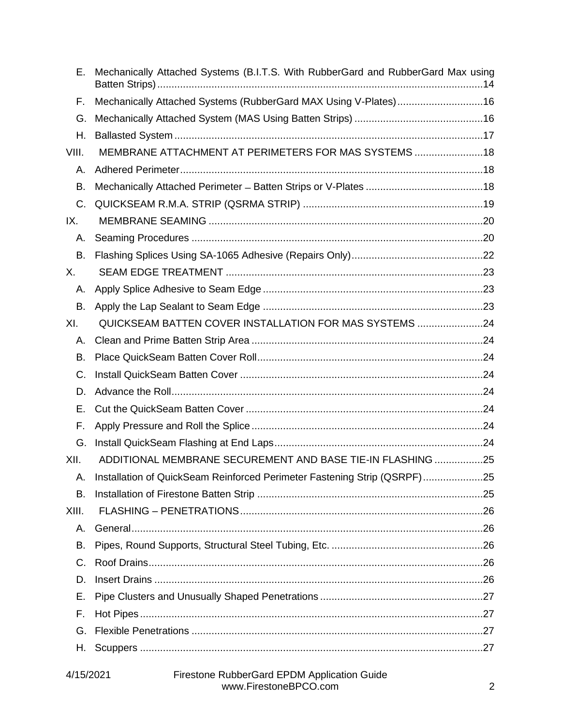| Е.      | Mechanically Attached Systems (B.I.T.S. With RubberGard and RubberGard Max using |  |
|---------|----------------------------------------------------------------------------------|--|
| F.      | Mechanically Attached Systems (RubberGard MAX Using V-Plates)16                  |  |
| G.      |                                                                                  |  |
| Η.      |                                                                                  |  |
| VIII.   | MEMBRANE ATTACHMENT AT PERIMETERS FOR MAS SYSTEMS 18                             |  |
| Α.      |                                                                                  |  |
| В.      |                                                                                  |  |
| C.      |                                                                                  |  |
| IX.     |                                                                                  |  |
| Α.      |                                                                                  |  |
| В.      |                                                                                  |  |
| Χ.      |                                                                                  |  |
| А.      |                                                                                  |  |
| В.      |                                                                                  |  |
| XI.     | QUICKSEAM BATTEN COVER INSTALLATION FOR MAS SYSTEMS 24                           |  |
| А.      |                                                                                  |  |
| В.      |                                                                                  |  |
| C.      |                                                                                  |  |
| D.      |                                                                                  |  |
| Е.      |                                                                                  |  |
| F.      |                                                                                  |  |
| G.      |                                                                                  |  |
| XII.    | ADDITIONAL MEMBRANE SECUREMENT AND BASE TIE-IN FLASHING 25                       |  |
| Α.      | Installation of QuickSeam Reinforced Perimeter Fastening Strip (QSRPF)25         |  |
| В.      |                                                                                  |  |
| XIII.   |                                                                                  |  |
| Α.      |                                                                                  |  |
| В.      |                                                                                  |  |
| $C_{1}$ |                                                                                  |  |
| D.      |                                                                                  |  |
| Е.      |                                                                                  |  |
| F.      |                                                                                  |  |
| G.      |                                                                                  |  |
| Н.      |                                                                                  |  |
|         |                                                                                  |  |

#### 4/15/2021 Firestone RubberGard EPDM Application Guide www.FirestoneBPCO.com 2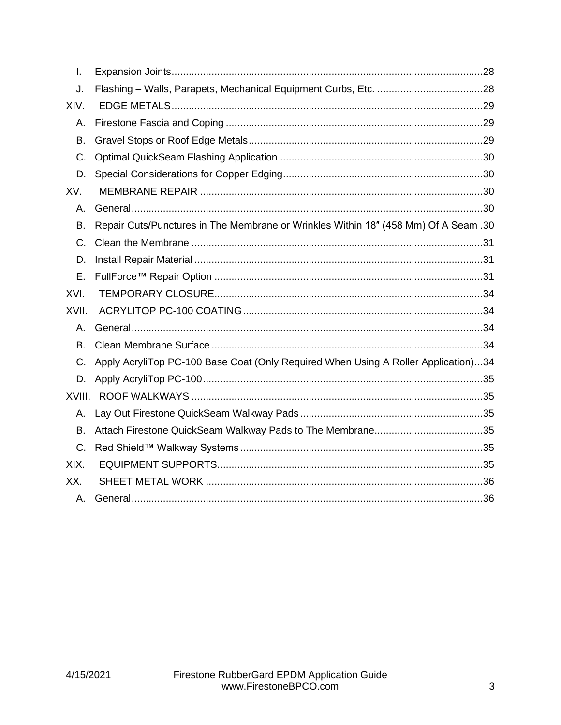| I.     |                                                                                     |
|--------|-------------------------------------------------------------------------------------|
| J.     |                                                                                     |
| XIV.   |                                                                                     |
| Α.     |                                                                                     |
| В.     |                                                                                     |
| C.     |                                                                                     |
| D.     |                                                                                     |
| XV.    |                                                                                     |
| Α.     |                                                                                     |
| В.     | Repair Cuts/Punctures in The Membrane or Wrinkles Within 18" (458 Mm) Of A Seam .30 |
| C.     |                                                                                     |
| D.     |                                                                                     |
| Ε.     |                                                                                     |
| XVI.   |                                                                                     |
| XVII.  |                                                                                     |
| А.     |                                                                                     |
| В.     |                                                                                     |
| C.     | Apply AcryliTop PC-100 Base Coat (Only Required When Using A Roller Application)34  |
| D.     |                                                                                     |
| XVIII. |                                                                                     |
| Α.     |                                                                                     |
| В.     |                                                                                     |
| C.     |                                                                                     |
| XIX.   |                                                                                     |
| XX.    |                                                                                     |
| Α.     |                                                                                     |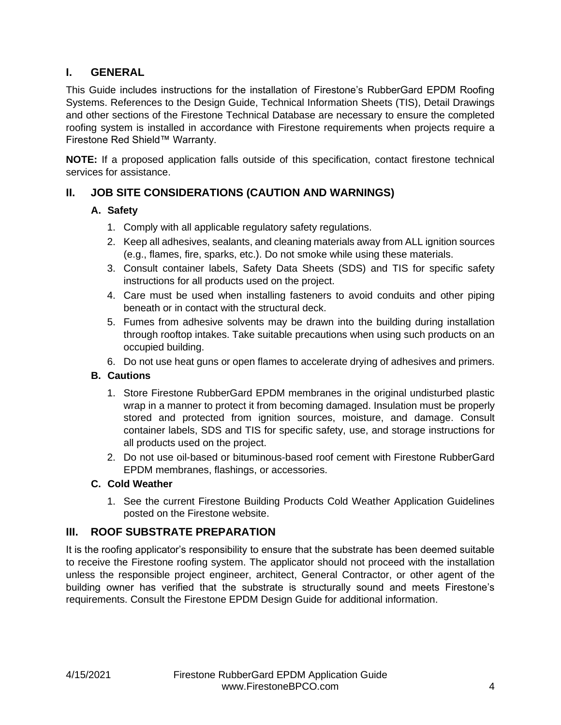# <span id="page-4-0"></span>**I. GENERAL**

This Guide includes instructions for the installation of Firestone's RubberGard EPDM Roofing Systems. References to the Design Guide, Technical Information Sheets (TIS), Detail Drawings and other sections of the Firestone Technical Database are necessary to ensure the completed roofing system is installed in accordance with Firestone requirements when projects require a Firestone Red Shield™ Warranty.

**NOTE:** If a proposed application falls outside of this specification, contact firestone technical services for assistance.

# <span id="page-4-2"></span><span id="page-4-1"></span>**II. JOB SITE CONSIDERATIONS (CAUTION AND WARNINGS)**

# **A. Safety**

- 1. Comply with all applicable regulatory safety regulations.
- 2. Keep all adhesives, sealants, and cleaning materials away from ALL ignition sources (e.g., flames, fire, sparks, etc.). Do not smoke while using these materials.
- 3. Consult container labels, Safety Data Sheets (SDS) and TIS for specific safety instructions for all products used on the project.
- 4. Care must be used when installing fasteners to avoid conduits and other piping beneath or in contact with the structural deck.
- 5. Fumes from adhesive solvents may be drawn into the building during installation through rooftop intakes. Take suitable precautions when using such products on an occupied building.
- 6. Do not use heat guns or open flames to accelerate drying of adhesives and primers.

# <span id="page-4-3"></span>**B. Cautions**

- 1. Store Firestone RubberGard EPDM membranes in the original undisturbed plastic wrap in a manner to protect it from becoming damaged. Insulation must be properly stored and protected from ignition sources, moisture, and damage. Consult container labels, SDS and TIS for specific safety, use, and storage instructions for all products used on the project.
- 2. Do not use oil-based or bituminous-based roof cement with Firestone RubberGard EPDM membranes, flashings, or accessories.

# <span id="page-4-4"></span>**C. Cold Weather**

1. See the current Firestone Building Products Cold Weather Application Guidelines posted on the Firestone website.

# <span id="page-4-5"></span>**III. ROOF SUBSTRATE PREPARATION**

It is the roofing applicator's responsibility to ensure that the substrate has been deemed suitable to receive the Firestone roofing system. The applicator should not proceed with the installation unless the responsible project engineer, architect, General Contractor, or other agent of the building owner has verified that the substrate is structurally sound and meets Firestone's requirements. Consult the Firestone EPDM Design Guide for additional information.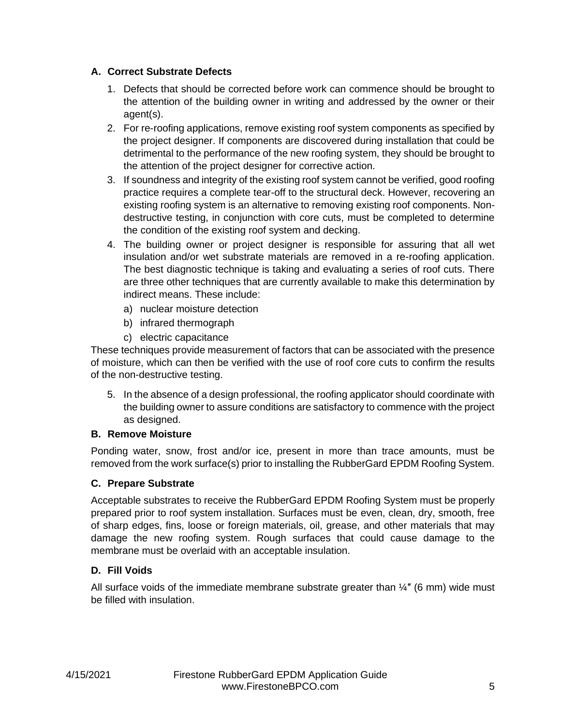# <span id="page-5-0"></span>**A. Correct Substrate Defects**

- 1. Defects that should be corrected before work can commence should be brought to the attention of the building owner in writing and addressed by the owner or their agent(s).
- 2. For re-roofing applications, remove existing roof system components as specified by the project designer. If components are discovered during installation that could be detrimental to the performance of the new roofing system, they should be brought to the attention of the project designer for corrective action.
- 3. If soundness and integrity of the existing roof system cannot be verified, good roofing practice requires a complete tear-off to the structural deck. However, recovering an existing roofing system is an alternative to removing existing roof components. Nondestructive testing, in conjunction with core cuts, must be completed to determine the condition of the existing roof system and decking.
- 4. The building owner or project designer is responsible for assuring that all wet insulation and/or wet substrate materials are removed in a re-roofing application. The best diagnostic technique is taking and evaluating a series of roof cuts. There are three other techniques that are currently available to make this determination by indirect means. These include:
	- a) nuclear moisture detection
	- b) infrared thermograph
	- c) electric capacitance

These techniques provide measurement of factors that can be associated with the presence of moisture, which can then be verified with the use of roof core cuts to confirm the results of the non-destructive testing.

5. In the absence of a design professional, the roofing applicator should coordinate with the building owner to assure conditions are satisfactory to commence with the project as designed.

# <span id="page-5-1"></span>**B. Remove Moisture**

Ponding water, snow, frost and/or ice, present in more than trace amounts, must be removed from the work surface(s) prior to installing the RubberGard EPDM Roofing System.

# <span id="page-5-2"></span>**C. Prepare Substrate**

Acceptable substrates to receive the RubberGard EPDM Roofing System must be properly prepared prior to roof system installation. Surfaces must be even, clean, dry, smooth, free of sharp edges, fins, loose or foreign materials, oil, grease, and other materials that may damage the new roofing system. Rough surfaces that could cause damage to the membrane must be overlaid with an acceptable insulation.

# <span id="page-5-3"></span>**D. Fill Voids**

All surface voids of the immediate membrane substrate greater than  $\frac{1}{4}$ " (6 mm) wide must be filled with insulation.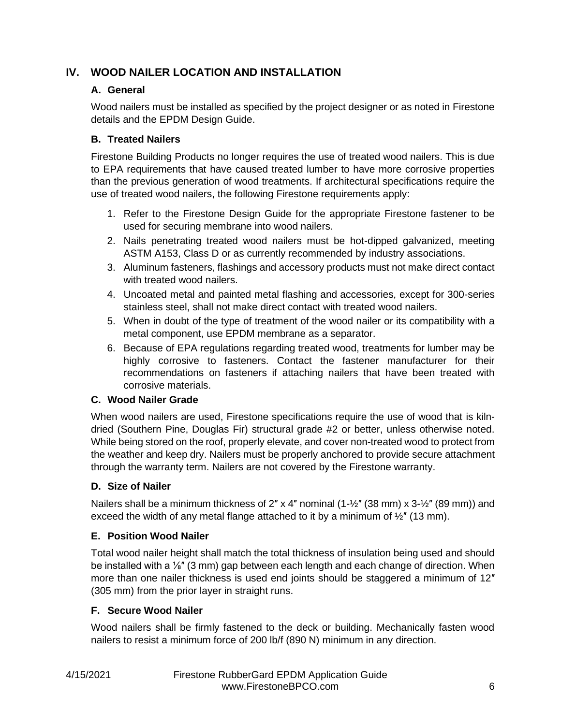# <span id="page-6-1"></span><span id="page-6-0"></span>**IV. WOOD NAILER LOCATION AND INSTALLATION**

# **A. General**

Wood nailers must be installed as specified by the project designer or as noted in Firestone details and the EPDM Design Guide.

# <span id="page-6-2"></span>**B. Treated Nailers**

Firestone Building Products no longer requires the use of treated wood nailers. This is due to EPA requirements that have caused treated lumber to have more corrosive properties than the previous generation of wood treatments. If architectural specifications require the use of treated wood nailers, the following Firestone requirements apply:

- 1. Refer to the Firestone Design Guide for the appropriate Firestone fastener to be used for securing membrane into wood nailers.
- 2. Nails penetrating treated wood nailers must be hot-dipped galvanized, meeting ASTM A153, Class D or as currently recommended by industry associations.
- 3. Aluminum fasteners, flashings and accessory products must not make direct contact with treated wood nailers.
- 4. Uncoated metal and painted metal flashing and accessories, except for 300-series stainless steel, shall not make direct contact with treated wood nailers.
- 5. When in doubt of the type of treatment of the wood nailer or its compatibility with a metal component, use EPDM membrane as a separator.
- 6. Because of EPA regulations regarding treated wood, treatments for lumber may be highly corrosive to fasteners. Contact the fastener manufacturer for their recommendations on fasteners if attaching nailers that have been treated with corrosive materials.

# <span id="page-6-3"></span>**C. Wood Nailer Grade**

When wood nailers are used, Firestone specifications require the use of wood that is kilndried (Southern Pine, Douglas Fir) structural grade #2 or better, unless otherwise noted. While being stored on the roof, properly elevate, and cover non-treated wood to protect from the weather and keep dry. Nailers must be properly anchored to provide secure attachment through the warranty term. Nailers are not covered by the Firestone warranty.

# <span id="page-6-4"></span>**D. Size of Nailer**

Nailers shall be a minimum thickness of  $2''$  x 4" nominal (1- $\frac{1}{2}$ " (38 mm) x 3- $\frac{1}{2}$ " (89 mm)) and exceed the width of any metal flange attached to it by a minimum of  $\frac{1}{2}$ " (13 mm).

# <span id="page-6-5"></span>**E. Position Wood Nailer**

Total wood nailer height shall match the total thickness of insulation being used and should be installed with a <sup>1/8</sup><sup>"</sup> (3 mm) gap between each length and each change of direction. When more than one nailer thickness is used end joints should be staggered a minimum of 12" (305 mm) from the prior layer in straight runs.

# <span id="page-6-6"></span>**F. Secure Wood Nailer**

Wood nailers shall be firmly fastened to the deck or building. Mechanically fasten wood nailers to resist a minimum force of 200 lb/f (890 N) minimum in any direction.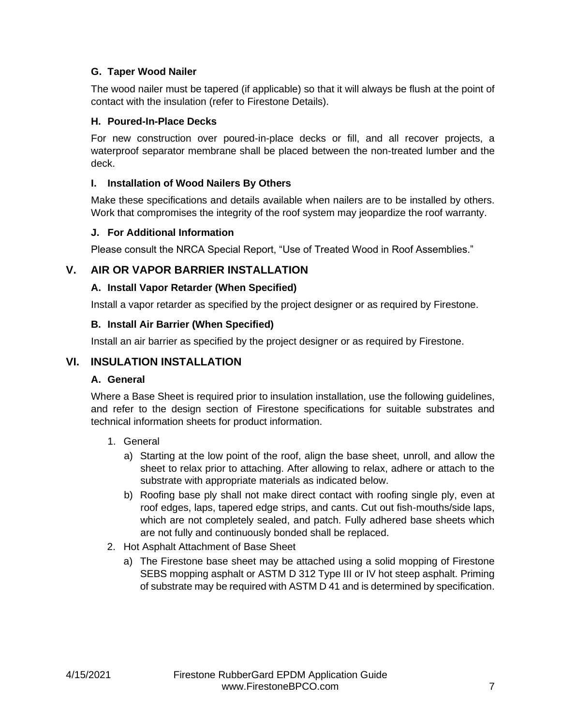## <span id="page-7-0"></span>**G. Taper Wood Nailer**

The wood nailer must be tapered (if applicable) so that it will always be flush at the point of contact with the insulation (refer to Firestone Details).

#### <span id="page-7-1"></span>**H. Poured-In-Place Decks**

For new construction over poured-in-place decks or fill, and all recover projects, a waterproof separator membrane shall be placed between the non-treated lumber and the deck.

#### <span id="page-7-2"></span>**I. Installation of Wood Nailers By Others**

Make these specifications and details available when nailers are to be installed by others. Work that compromises the integrity of the roof system may jeopardize the roof warranty.

#### <span id="page-7-3"></span>**J. For Additional Information**

Please consult the NRCA Special Report, "Use of Treated Wood in Roof Assemblies."

#### <span id="page-7-5"></span><span id="page-7-4"></span>**V. AIR OR VAPOR BARRIER INSTALLATION**

#### **A. Install Vapor Retarder (When Specified)**

Install a vapor retarder as specified by the project designer or as required by Firestone.

#### <span id="page-7-6"></span>**B. Install Air Barrier (When Specified)**

Install an air barrier as specified by the project designer or as required by Firestone.

## <span id="page-7-8"></span><span id="page-7-7"></span>**VI. INSULATION INSTALLATION**

#### **A. General**

Where a Base Sheet is required prior to insulation installation, use the following guidelines, and refer to the design section of Firestone specifications for suitable substrates and technical information sheets for product information.

- 1. General
	- a) Starting at the low point of the roof, align the base sheet, unroll, and allow the sheet to relax prior to attaching. After allowing to relax, adhere or attach to the substrate with appropriate materials as indicated below.
	- b) Roofing base ply shall not make direct contact with roofing single ply, even at roof edges, laps, tapered edge strips, and cants. Cut out fish-mouths/side laps, which are not completely sealed, and patch. Fully adhered base sheets which are not fully and continuously bonded shall be replaced.
- 2. Hot Asphalt Attachment of Base Sheet
	- a) The Firestone base sheet may be attached using a solid mopping of Firestone SEBS mopping asphalt or ASTM D 312 Type III or IV hot steep asphalt. Priming of substrate may be required with ASTM D 41 and is determined by specification.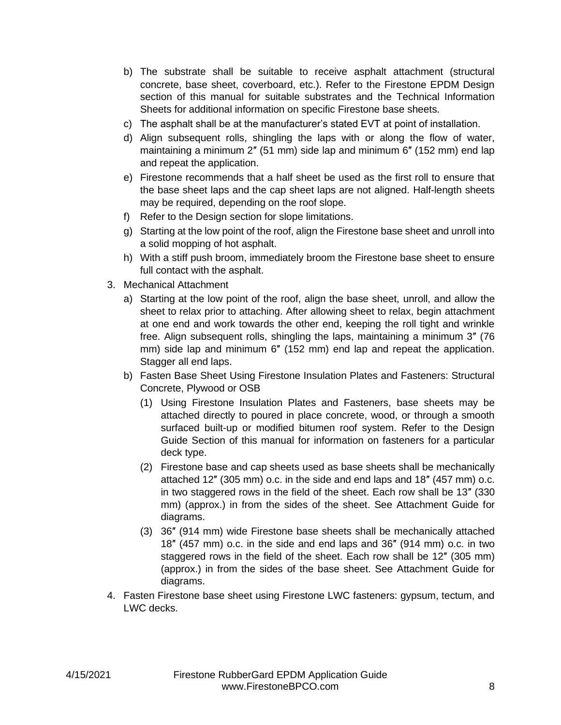- b) The substrate shall be suitable to receive asphalt attachment (structural concrete, base sheet, coverboard, etc.). Refer to the Firestone EPDM Design section of this manual for suitable substrates and the Technical Information Sheets for additional information on specific Firestone base sheets.
- c) The asphalt shall be at the manufacturer's stated EVT at point of installation.
- d) Align subsequent rolls, shingling the laps with or along the flow of water, maintaining a minimum 2″ (51 mm) side lap and minimum 6″ (152 mm) end lap and repeat the application.
- e) Firestone recommends that a half sheet be used as the first roll to ensure that the base sheet laps and the cap sheet laps are not aligned. Half-length sheets may be required, depending on the roof slope.
- f) Refer to the Design section for slope limitations.
- g) Starting at the low point of the roof, align the Firestone base sheet and unroll into a solid mopping of hot asphalt.
- h) With a stiff push broom, immediately broom the Firestone base sheet to ensure full contact with the asphalt.
- 3. Mechanical Attachment
	- a) Starting at the low point of the roof, align the base sheet, unroll, and allow the sheet to relax prior to attaching. After allowing sheet to relax, begin attachment at one end and work towards the other end, keeping the roll tight and wrinkle free. Align subsequent rolls, shingling the laps, maintaining a minimum 3″ (76 mm) side lap and minimum 6″ (152 mm) end lap and repeat the application. Stagger all end laps.
	- b) Fasten Base Sheet Using Firestone Insulation Plates and Fasteners: Structural Concrete, Plywood or OSB
		- (1) Using Firestone Insulation Plates and Fasteners, base sheets may be attached directly to poured in place concrete, wood, or through a smooth surfaced built-up or modified bitumen roof system. Refer to the Design Guide Section of this manual for information on fasteners for a particular deck type.
		- (2) Firestone base and cap sheets used as base sheets shall be mechanically attached 12″ (305 mm) o.c. in the side and end laps and 18″ (457 mm) o.c. in two staggered rows in the field of the sheet. Each row shall be 13″ (330 mm) (approx.) in from the sides of the sheet. See Attachment Guide for diagrams.
		- (3) 36″ (914 mm) wide Firestone base sheets shall be mechanically attached 18″ (457 mm) o.c. in the side and end laps and 36″ (914 mm) o.c. in two staggered rows in the field of the sheet. Each row shall be 12″ (305 mm) (approx.) in from the sides of the base sheet. See Attachment Guide for diagrams.
- 4. Fasten Firestone base sheet using Firestone LWC fasteners: gypsum, tectum, and LWC decks.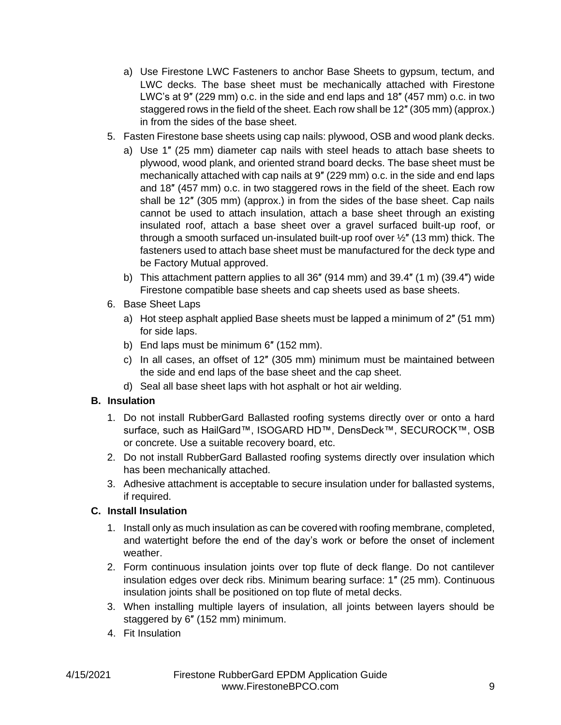- a) Use Firestone LWC Fasteners to anchor Base Sheets to gypsum, tectum, and LWC decks. The base sheet must be mechanically attached with Firestone LWC's at 9″ (229 mm) o.c. in the side and end laps and 18″ (457 mm) o.c. in two staggered rows in the field of the sheet. Each row shall be 12″ (305 mm) (approx.) in from the sides of the base sheet.
- 5. Fasten Firestone base sheets using cap nails: plywood, OSB and wood plank decks.
	- a) Use 1″ (25 mm) diameter cap nails with steel heads to attach base sheets to plywood, wood plank, and oriented strand board decks. The base sheet must be mechanically attached with cap nails at 9″ (229 mm) o.c. in the side and end laps and 18″ (457 mm) o.c. in two staggered rows in the field of the sheet. Each row shall be 12″ (305 mm) (approx.) in from the sides of the base sheet. Cap nails cannot be used to attach insulation, attach a base sheet through an existing insulated roof, attach a base sheet over a gravel surfaced built-up roof, or through a smooth surfaced un-insulated built-up roof over  $\frac{1}{2}$ " (13 mm) thick. The fasteners used to attach base sheet must be manufactured for the deck type and be Factory Mutual approved.
	- b) This attachment pattern applies to all 36″ (914 mm) and 39.4″ (1 m) (39.4″) wide Firestone compatible base sheets and cap sheets used as base sheets.
- 6. Base Sheet Laps
	- a) Hot steep asphalt applied Base sheets must be lapped a minimum of 2″ (51 mm) for side laps.
	- b) End laps must be minimum 6″ (152 mm).
	- c) In all cases, an offset of 12″ (305 mm) minimum must be maintained between the side and end laps of the base sheet and the cap sheet.
	- d) Seal all base sheet laps with hot asphalt or hot air welding.

# <span id="page-9-0"></span>**B. Insulation**

- 1. Do not install RubberGard Ballasted roofing systems directly over or onto a hard surface, such as HailGard™, ISOGARD HD™, DensDeck™, SECUROCK™, OSB or concrete. Use a suitable recovery board, etc.
- 2. Do not install RubberGard Ballasted roofing systems directly over insulation which has been mechanically attached.
- 3. Adhesive attachment is acceptable to secure insulation under for ballasted systems, if required.

# <span id="page-9-1"></span>**C. Install Insulation**

- 1. Install only as much insulation as can be covered with roofing membrane, completed, and watertight before the end of the day's work or before the onset of inclement weather.
- 2. Form continuous insulation joints over top flute of deck flange. Do not cantilever insulation edges over deck ribs. Minimum bearing surface: 1″ (25 mm). Continuous insulation joints shall be positioned on top flute of metal decks.
- 3. When installing multiple layers of insulation, all joints between layers should be staggered by 6″ (152 mm) minimum.
- 4. Fit Insulation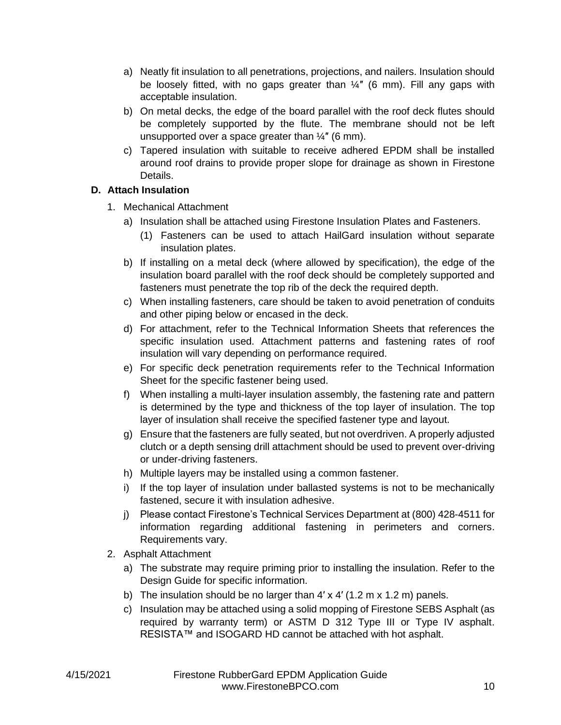- a) Neatly fit insulation to all penetrations, projections, and nailers. Insulation should be loosely fitted, with no gaps greater than  $\frac{1}{4}$  (6 mm). Fill any gaps with acceptable insulation.
- b) On metal decks, the edge of the board parallel with the roof deck flutes should be completely supported by the flute. The membrane should not be left unsupported over a space greater than  $\frac{1}{4}$ " (6 mm).
- c) Tapered insulation with suitable to receive adhered EPDM shall be installed around roof drains to provide proper slope for drainage as shown in Firestone Details.

# <span id="page-10-0"></span>**D. Attach Insulation**

- 1. Mechanical Attachment
	- a) Insulation shall be attached using Firestone Insulation Plates and Fasteners.
		- (1) Fasteners can be used to attach HailGard insulation without separate insulation plates.
	- b) If installing on a metal deck (where allowed by specification), the edge of the insulation board parallel with the roof deck should be completely supported and fasteners must penetrate the top rib of the deck the required depth.
	- c) When installing fasteners, care should be taken to avoid penetration of conduits and other piping below or encased in the deck.
	- d) For attachment, refer to the Technical Information Sheets that references the specific insulation used. Attachment patterns and fastening rates of roof insulation will vary depending on performance required.
	- e) For specific deck penetration requirements refer to the Technical Information Sheet for the specific fastener being used.
	- f) When installing a multi-layer insulation assembly, the fastening rate and pattern is determined by the type and thickness of the top layer of insulation. The top layer of insulation shall receive the specified fastener type and layout.
	- g) Ensure that the fasteners are fully seated, but not overdriven. A properly adjusted clutch or a depth sensing drill attachment should be used to prevent over-driving or under-driving fasteners.
	- h) Multiple layers may be installed using a common fastener.
	- i) If the top layer of insulation under ballasted systems is not to be mechanically fastened, secure it with insulation adhesive.
	- j) Please contact Firestone's Technical Services Department at (800) 428-4511 for information regarding additional fastening in perimeters and corners. Requirements vary.
- 2. Asphalt Attachment
	- a) The substrate may require priming prior to installing the insulation. Refer to the Design Guide for specific information.
	- b) The insulation should be no larger than  $4' \times 4'$  (1.2 m  $\times$  1.2 m) panels.
	- c) Insulation may be attached using a solid mopping of Firestone SEBS Asphalt (as required by warranty term) or ASTM D 312 Type III or Type IV asphalt. RESISTA™ and ISOGARD HD cannot be attached with hot asphalt.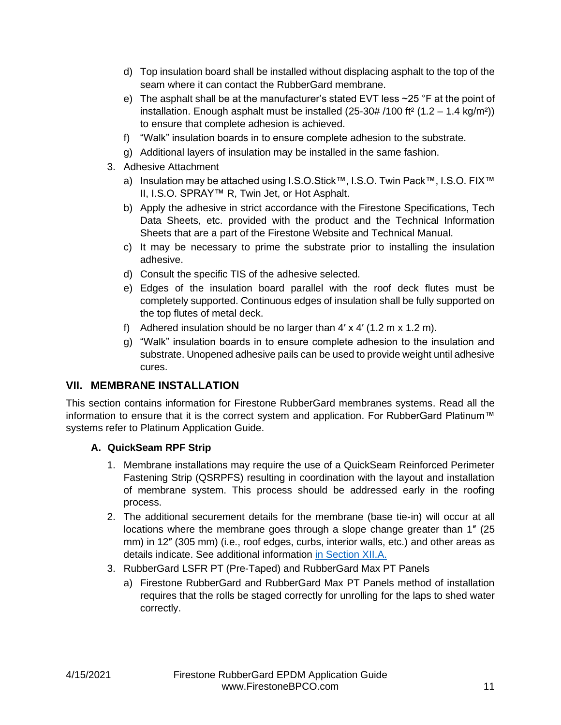- d) Top insulation board shall be installed without displacing asphalt to the top of the seam where it can contact the RubberGard membrane.
- e) The asphalt shall be at the manufacturer's stated EVT less  $\sim$  25 °F at the point of installation. Enough asphalt must be installed  $(25-30# / 100$  ft<sup>2</sup>  $(1.2 - 1.4$  kg/m<sup>2</sup>)) to ensure that complete adhesion is achieved.
- f) "Walk" insulation boards in to ensure complete adhesion to the substrate.
- g) Additional layers of insulation may be installed in the same fashion.
- 3. Adhesive Attachment
	- a) Insulation may be attached using I.S.O.Stick™, I.S.O. Twin Pack™, I.S.O. FIX™ II, I.S.O. SPRAY™ R, Twin Jet, or Hot Asphalt.
	- b) Apply the adhesive in strict accordance with the Firestone Specifications, Tech Data Sheets, etc. provided with the product and the Technical Information Sheets that are a part of the Firestone Website and Technical Manual.
	- c) It may be necessary to prime the substrate prior to installing the insulation adhesive.
	- d) Consult the specific TIS of the adhesive selected.
	- e) Edges of the insulation board parallel with the roof deck flutes must be completely supported. Continuous edges of insulation shall be fully supported on the top flutes of metal deck.
	- f) Adhered insulation should be no larger than  $4' \times 4'$  (1.2 m  $\times$  1.2 m).
	- g) "Walk" insulation boards in to ensure complete adhesion to the insulation and substrate. Unopened adhesive pails can be used to provide weight until adhesive cures.

# <span id="page-11-0"></span>**VII. MEMBRANE INSTALLATION**

This section contains information for Firestone RubberGard membranes systems. Read all the information to ensure that it is the correct system and application. For RubberGard Platinum™ systems refer to Platinum Application Guide.

# <span id="page-11-1"></span>**A. QuickSeam RPF Strip**

- 1. Membrane installations may require the use of a QuickSeam Reinforced Perimeter Fastening Strip (QSRPFS) resulting in coordination with the layout and installation of membrane system. This process should be addressed early in the roofing process.
- 2. The additional securement details for the membrane (base tie-in) will occur at all locations where the membrane goes through a slope change greater than 1″ (25 mm) in 12″ (305 mm) (i.e., roof edges, curbs, interior walls, etc.) and other areas as details indicate. See additional information [in Section XII.A.](#page-25-3)
- 3. RubberGard LSFR PT (Pre-Taped) and RubberGard Max PT Panels
	- a) Firestone RubberGard and RubberGard Max PT Panels method of installation requires that the rolls be staged correctly for unrolling for the laps to shed water correctly.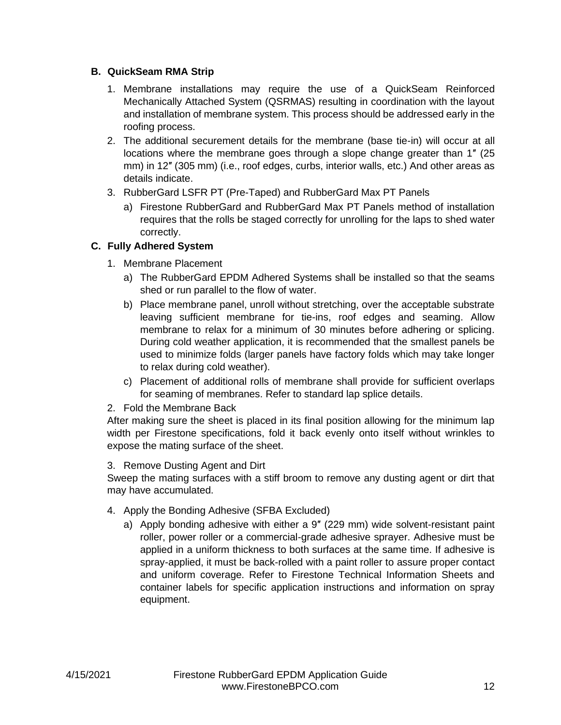#### <span id="page-12-0"></span>**B. QuickSeam RMA Strip**

- 1. Membrane installations may require the use of a QuickSeam Reinforced Mechanically Attached System (QSRMAS) resulting in coordination with the layout and installation of membrane system. This process should be addressed early in the roofing process.
- 2. The additional securement details for the membrane (base tie-in) will occur at all locations where the membrane goes through a slope change greater than 1″ (25 mm) in 12″ (305 mm) (i.e., roof edges, curbs, interior walls, etc.) And other areas as details indicate.
- 3. RubberGard LSFR PT (Pre-Taped) and RubberGard Max PT Panels
	- a) Firestone RubberGard and RubberGard Max PT Panels method of installation requires that the rolls be staged correctly for unrolling for the laps to shed water correctly.

### <span id="page-12-1"></span>**C. Fully Adhered System**

- 1. Membrane Placement
	- a) The RubberGard EPDM Adhered Systems shall be installed so that the seams shed or run parallel to the flow of water.
	- b) Place membrane panel, unroll without stretching, over the acceptable substrate leaving sufficient membrane for tie-ins, roof edges and seaming. Allow membrane to relax for a minimum of 30 minutes before adhering or splicing. During cold weather application, it is recommended that the smallest panels be used to minimize folds (larger panels have factory folds which may take longer to relax during cold weather).
	- c) Placement of additional rolls of membrane shall provide for sufficient overlaps for seaming of membranes. Refer to standard lap splice details.

#### 2. Fold the Membrane Back

After making sure the sheet is placed in its final position allowing for the minimum lap width per Firestone specifications, fold it back evenly onto itself without wrinkles to expose the mating surface of the sheet.

#### 3. Remove Dusting Agent and Dirt

Sweep the mating surfaces with a stiff broom to remove any dusting agent or dirt that may have accumulated.

- 4. Apply the Bonding Adhesive (SFBA Excluded)
	- a) Apply bonding adhesive with either a 9″ (229 mm) wide solvent-resistant paint roller, power roller or a commercial-grade adhesive sprayer. Adhesive must be applied in a uniform thickness to both surfaces at the same time. If adhesive is spray-applied, it must be back-rolled with a paint roller to assure proper contact and uniform coverage. Refer to Firestone Technical Information Sheets and container labels for specific application instructions and information on spray equipment.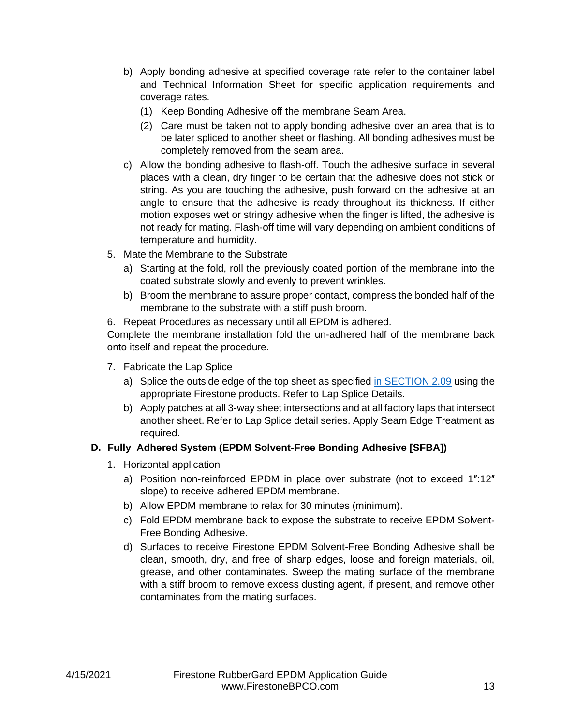- b) Apply bonding adhesive at specified coverage rate refer to the container label and Technical Information Sheet for specific application requirements and coverage rates.
	- (1) Keep Bonding Adhesive off the membrane Seam Area.
	- (2) Care must be taken not to apply bonding adhesive over an area that is to be later spliced to another sheet or flashing. All bonding adhesives must be completely removed from the seam area.
- c) Allow the bonding adhesive to flash-off. Touch the adhesive surface in several places with a clean, dry finger to be certain that the adhesive does not stick or string. As you are touching the adhesive, push forward on the adhesive at an angle to ensure that the adhesive is ready throughout its thickness. If either motion exposes wet or stringy adhesive when the finger is lifted, the adhesive is not ready for mating. Flash-off time will vary depending on ambient conditions of temperature and humidity.
- 5. Mate the Membrane to the Substrate
	- a) Starting at the fold, roll the previously coated portion of the membrane into the coated substrate slowly and evenly to prevent wrinkles.
	- b) Broom the membrane to assure proper contact, compress the bonded half of the membrane to the substrate with a stiff push broom.
- 6. Repeat Procedures as necessary until all EPDM is adhered.

Complete the membrane installation fold the un-adhered half of the membrane back onto itself and repeat the procedure.

- 7. Fabricate the Lap Splice
	- a) Splice the outside edge of the top sheet as specified [in SECTION 2.09](#page-20-0) using the appropriate Firestone products. Refer to Lap Splice Details.
	- b) Apply patches at all 3-way sheet intersections and at all factory laps that intersect another sheet. Refer to Lap Splice detail series. Apply Seam Edge Treatment as required.

# <span id="page-13-0"></span>**D. Fully Adhered System (EPDM Solvent-Free Bonding Adhesive [SFBA])**

- 1. Horizontal application
	- a) Position non-reinforced EPDM in place over substrate (not to exceed 1″:12″ slope) to receive adhered EPDM membrane.
	- b) Allow EPDM membrane to relax for 30 minutes (minimum).
	- c) Fold EPDM membrane back to expose the substrate to receive EPDM Solvent-Free Bonding Adhesive.
	- d) Surfaces to receive Firestone EPDM Solvent-Free Bonding Adhesive shall be clean, smooth, dry, and free of sharp edges, loose and foreign materials, oil, grease, and other contaminates. Sweep the mating surface of the membrane with a stiff broom to remove excess dusting agent, if present, and remove other contaminates from the mating surfaces.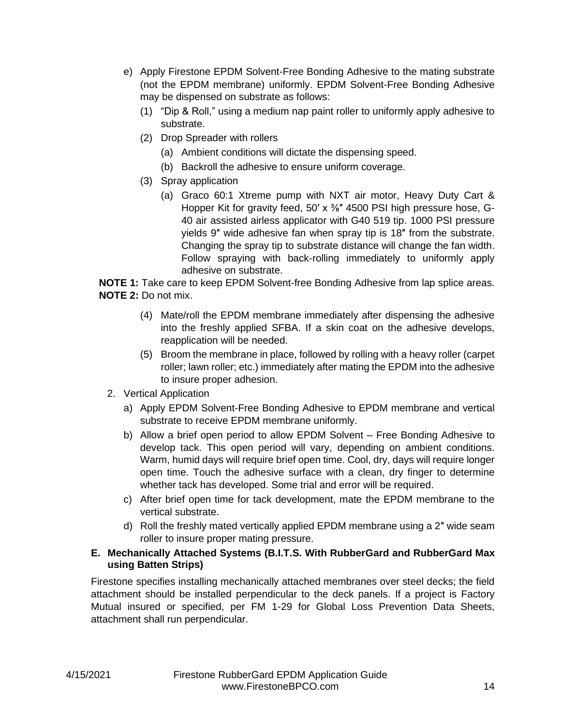- e) Apply Firestone EPDM Solvent-Free Bonding Adhesive to the mating substrate (not the EPDM membrane) uniformly. EPDM Solvent-Free Bonding Adhesive may be dispensed on substrate as follows:
	- (1) "Dip & Roll," using a medium nap paint roller to uniformly apply adhesive to substrate.
	- (2) Drop Spreader with rollers
		- (a) Ambient conditions will dictate the dispensing speed.
		- (b) Backroll the adhesive to ensure uniform coverage.
	- (3) Spray application
		- (a) Graco 60:1 Xtreme pump with NXT air motor, Heavy Duty Cart & Hopper Kit for gravity feed, 50' x  $\frac{3}{8}$ " 4500 PSI high pressure hose, G-40 air assisted airless applicator with G40 519 tip. 1000 PSI pressure yields 9″ wide adhesive fan when spray tip is 18″ from the substrate. Changing the spray tip to substrate distance will change the fan width. Follow spraying with back-rolling immediately to uniformly apply adhesive on substrate.

**NOTE 1:** Take care to keep EPDM Solvent-free Bonding Adhesive from lap splice areas. **NOTE 2:** Do not mix.

- (4) Mate/roll the EPDM membrane immediately after dispensing the adhesive into the freshly applied SFBA. If a skin coat on the adhesive develops, reapplication will be needed.
- (5) Broom the membrane in place, followed by rolling with a heavy roller (carpet roller; lawn roller; etc.) immediately after mating the EPDM into the adhesive to insure proper adhesion.
- 2. Vertical Application
	- a) Apply EPDM Solvent-Free Bonding Adhesive to EPDM membrane and vertical substrate to receive EPDM membrane uniformly.
	- b) Allow a brief open period to allow EPDM Solvent Free Bonding Adhesive to develop tack. This open period will vary, depending on ambient conditions. Warm, humid days will require brief open time. Cool, dry, days will require longer open time. Touch the adhesive surface with a clean, dry finger to determine whether tack has developed. Some trial and error will be required.
	- c) After brief open time for tack development, mate the EPDM membrane to the vertical substrate.
	- d) Roll the freshly mated vertically applied EPDM membrane using a 2″ wide seam roller to insure proper mating pressure.

### <span id="page-14-0"></span>**E. Mechanically Attached Systems (B.I.T.S. With RubberGard and RubberGard Max using Batten Strips)**

Firestone specifies installing mechanically attached membranes over steel decks; the field attachment should be installed perpendicular to the deck panels. If a project is Factory Mutual insured or specified, per FM 1-29 for Global Loss Prevention Data Sheets, attachment shall run perpendicular.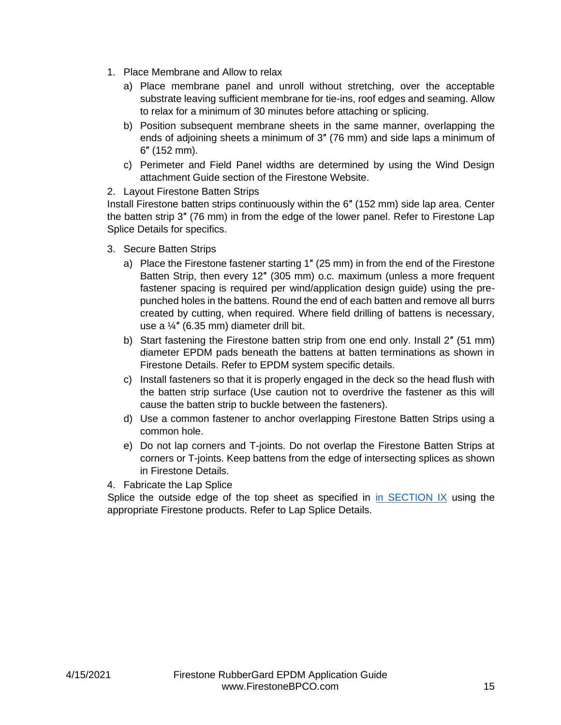- 1. Place Membrane and Allow to relax
	- a) Place membrane panel and unroll without stretching, over the acceptable substrate leaving sufficient membrane for tie-ins, roof edges and seaming. Allow to relax for a minimum of 30 minutes before attaching or splicing.
	- b) Position subsequent membrane sheets in the same manner, overlapping the ends of adjoining sheets a minimum of 3″ (76 mm) and side laps a minimum of 6″ (152 mm).
	- c) Perimeter and Field Panel widths are determined by using the Wind Design attachment Guide section of the Firestone Website.

#### 2. Layout Firestone Batten Strips

Install Firestone batten strips continuously within the 6″ (152 mm) side lap area. Center the batten strip 3″ (76 mm) in from the edge of the lower panel. Refer to Firestone Lap Splice Details for specifics.

- 3. Secure Batten Strips
	- a) Place the Firestone fastener starting 1″ (25 mm) in from the end of the Firestone Batten Strip, then every 12″ (305 mm) o.c. maximum (unless a more frequent fastener spacing is required per wind/application design guide) using the prepunched holes in the battens. Round the end of each batten and remove all burrs created by cutting, when required. Where field drilling of battens is necessary, use a ¼″ (6.35 mm) diameter drill bit.
	- b) Start fastening the Firestone batten strip from one end only. Install 2″ (51 mm) diameter EPDM pads beneath the battens at batten terminations as shown in Firestone Details. Refer to EPDM system specific details.
	- c) Install fasteners so that it is properly engaged in the deck so the head flush with the batten strip surface (Use caution not to overdrive the fastener as this will cause the batten strip to buckle between the fasteners).
	- d) Use a common fastener to anchor overlapping Firestone Batten Strips using a common hole.
	- e) Do not lap corners and T-joints. Do not overlap the Firestone Batten Strips at corners or T-joints. Keep battens from the edge of intersecting splices as shown in Firestone Details.
- 4. Fabricate the Lap Splice

Splice the outside edge of the top sheet as specified in [in SECTION IX](#page-20-0) using the appropriate Firestone products. Refer to Lap Splice Details.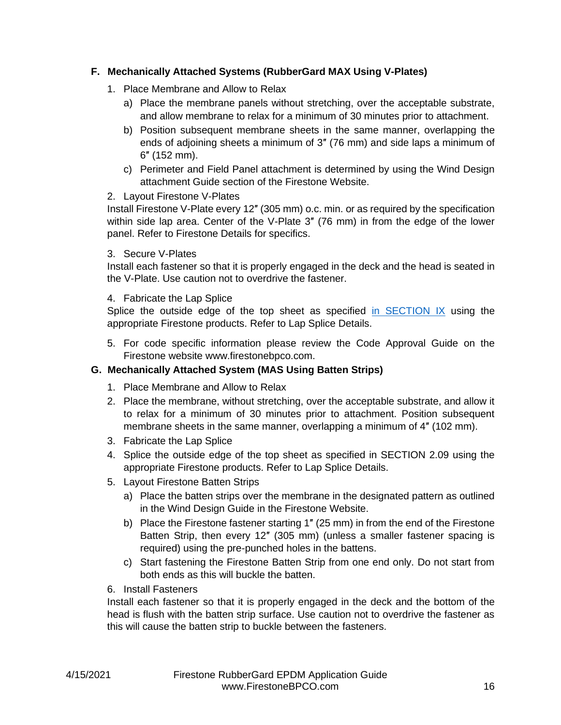# <span id="page-16-0"></span>**F. Mechanically Attached Systems (RubberGard MAX Using V-Plates)**

- 1. Place Membrane and Allow to Relax
	- a) Place the membrane panels without stretching, over the acceptable substrate, and allow membrane to relax for a minimum of 30 minutes prior to attachment.
	- b) Position subsequent membrane sheets in the same manner, overlapping the ends of adjoining sheets a minimum of 3″ (76 mm) and side laps a minimum of 6″ (152 mm).
	- c) Perimeter and Field Panel attachment is determined by using the Wind Design attachment Guide section of the Firestone Website.

#### 2. Layout Firestone V-Plates

Install Firestone V-Plate every 12″ (305 mm) o.c. min. or as required by the specification within side lap area. Center of the V-Plate 3″ (76 mm) in from the edge of the lower panel. Refer to Firestone Details for specifics.

#### 3. Secure V-Plates

Install each fastener so that it is properly engaged in the deck and the head is seated in the V-Plate. Use caution not to overdrive the fastener.

#### 4. Fabricate the Lap Splice

Splice the outside edge of the top sheet as specified [in SECTION IX](#page-20-0) using the appropriate Firestone products. Refer to Lap Splice Details.

5. For code specific information please review the Code Approval Guide on the Firestone website www.firestonebpco.com.

#### <span id="page-16-1"></span>**G. Mechanically Attached System (MAS Using Batten Strips)**

- 1. Place Membrane and Allow to Relax
- 2. Place the membrane, without stretching, over the acceptable substrate, and allow it to relax for a minimum of 30 minutes prior to attachment. Position subsequent membrane sheets in the same manner, overlapping a minimum of 4″ (102 mm).
- 3. Fabricate the Lap Splice
- 4. Splice the outside edge of the top sheet as specified in SECTION 2.09 using the appropriate Firestone products. Refer to Lap Splice Details.
- 5. Layout Firestone Batten Strips
	- a) Place the batten strips over the membrane in the designated pattern as outlined in the Wind Design Guide in the Firestone Website.
	- b) Place the Firestone fastener starting 1″ (25 mm) in from the end of the Firestone Batten Strip, then every 12″ (305 mm) (unless a smaller fastener spacing is required) using the pre-punched holes in the battens.
	- c) Start fastening the Firestone Batten Strip from one end only. Do not start from both ends as this will buckle the batten.

6. Install Fasteners

Install each fastener so that it is properly engaged in the deck and the bottom of the head is flush with the batten strip surface. Use caution not to overdrive the fastener as this will cause the batten strip to buckle between the fasteners.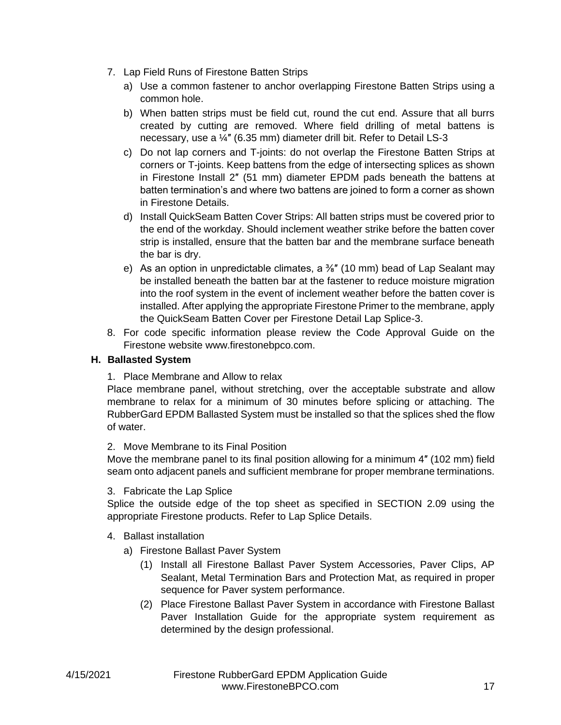- 7. Lap Field Runs of Firestone Batten Strips
	- a) Use a common fastener to anchor overlapping Firestone Batten Strips using a common hole.
	- b) When batten strips must be field cut, round the cut end. Assure that all burrs created by cutting are removed. Where field drilling of metal battens is necessary, use a ¼″ (6.35 mm) diameter drill bit. Refer to Detail LS-3
	- c) Do not lap corners and T-joints: do not overlap the Firestone Batten Strips at corners or T-joints. Keep battens from the edge of intersecting splices as shown in Firestone Install 2″ (51 mm) diameter EPDM pads beneath the battens at batten termination's and where two battens are joined to form a corner as shown in Firestone Details.
	- d) Install QuickSeam Batten Cover Strips: All batten strips must be covered prior to the end of the workday. Should inclement weather strike before the batten cover strip is installed, ensure that the batten bar and the membrane surface beneath the bar is dry.
	- e) As an option in unpredictable climates, a  $\frac{3}{8}$ " (10 mm) bead of Lap Sealant may be installed beneath the batten bar at the fastener to reduce moisture migration into the roof system in the event of inclement weather before the batten cover is installed. After applying the appropriate Firestone Primer to the membrane, apply the QuickSeam Batten Cover per Firestone Detail Lap Splice-3.
- 8. For code specific information please review the Code Approval Guide on the Firestone website www.firestonebpco.com.

### <span id="page-17-0"></span>**H. Ballasted System**

1. Place Membrane and Allow to relax

Place membrane panel, without stretching, over the acceptable substrate and allow membrane to relax for a minimum of 30 minutes before splicing or attaching. The RubberGard EPDM Ballasted System must be installed so that the splices shed the flow of water.

2. Move Membrane to its Final Position

Move the membrane panel to its final position allowing for a minimum 4″ (102 mm) field seam onto adjacent panels and sufficient membrane for proper membrane terminations.

3. Fabricate the Lap Splice

Splice the outside edge of the top sheet as specified in SECTION 2.09 using the appropriate Firestone products. Refer to Lap Splice Details.

- 4. Ballast installation
	- a) Firestone Ballast Paver System
		- (1) Install all Firestone Ballast Paver System Accessories, Paver Clips, AP Sealant, Metal Termination Bars and Protection Mat, as required in proper sequence for Paver system performance.
		- (2) Place Firestone Ballast Paver System in accordance with Firestone Ballast Paver Installation Guide for the appropriate system requirement as determined by the design professional.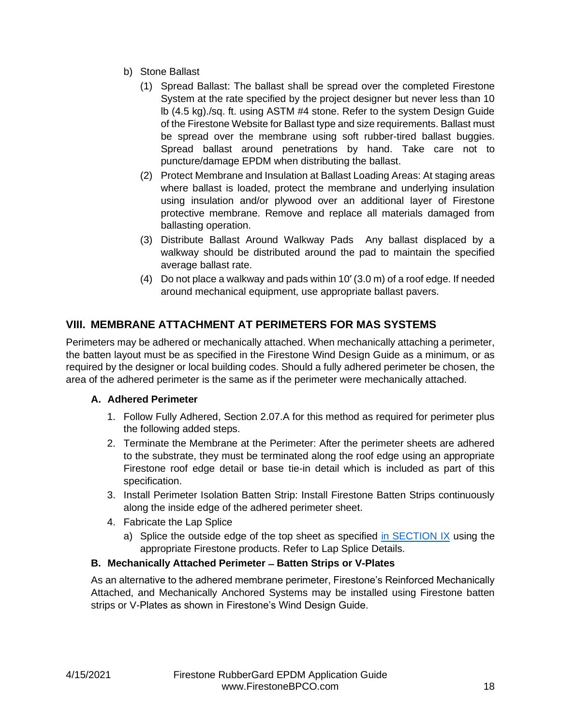- b) Stone Ballast
	- (1) Spread Ballast: The ballast shall be spread over the completed Firestone System at the rate specified by the project designer but never less than 10 lb (4.5 kg)./sq. ft. using ASTM #4 stone. Refer to the system Design Guide of the Firestone Website for Ballast type and size requirements. Ballast must be spread over the membrane using soft rubber-tired ballast buggies. Spread ballast around penetrations by hand. Take care not to puncture/damage EPDM when distributing the ballast.
	- (2) Protect Membrane and Insulation at Ballast Loading Areas: At staging areas where ballast is loaded, protect the membrane and underlying insulation using insulation and/or plywood over an additional layer of Firestone protective membrane. Remove and replace all materials damaged from ballasting operation.
	- (3) Distribute Ballast Around Walkway Pads Any ballast displaced by a walkway should be distributed around the pad to maintain the specified average ballast rate.
	- (4) Do not place a walkway and pads within 10′ (3.0 m) of a roof edge. If needed around mechanical equipment, use appropriate ballast pavers.

# <span id="page-18-0"></span>**VIII. MEMBRANE ATTACHMENT AT PERIMETERS FOR MAS SYSTEMS**

Perimeters may be adhered or mechanically attached. When mechanically attaching a perimeter, the batten layout must be as specified in the Firestone Wind Design Guide as a minimum, or as required by the designer or local building codes. Should a fully adhered perimeter be chosen, the area of the adhered perimeter is the same as if the perimeter were mechanically attached.

# <span id="page-18-1"></span>**A. Adhered Perimeter**

- 1. Follow Fully Adhered, Section 2.07.A for this method as required for perimeter plus the following added steps.
- 2. Terminate the Membrane at the Perimeter: After the perimeter sheets are adhered to the substrate, they must be terminated along the roof edge using an appropriate Firestone roof edge detail or base tie-in detail which is included as part of this specification.
- 3. Install Perimeter Isolation Batten Strip: Install Firestone Batten Strips continuously along the inside edge of the adhered perimeter sheet.
- 4. Fabricate the Lap Splice
	- a) Splice the outside edge of the top sheet as specified [in SECTION IX](#page-20-0) using the appropriate Firestone products. Refer to Lap Splice Details.

# <span id="page-18-2"></span>**B. Mechanically Attached Perimeter ̶ Batten Strips or V-Plates**

As an alternative to the adhered membrane perimeter, Firestone's Reinforced Mechanically Attached, and Mechanically Anchored Systems may be installed using Firestone batten strips or V-Plates as shown in Firestone's Wind Design Guide.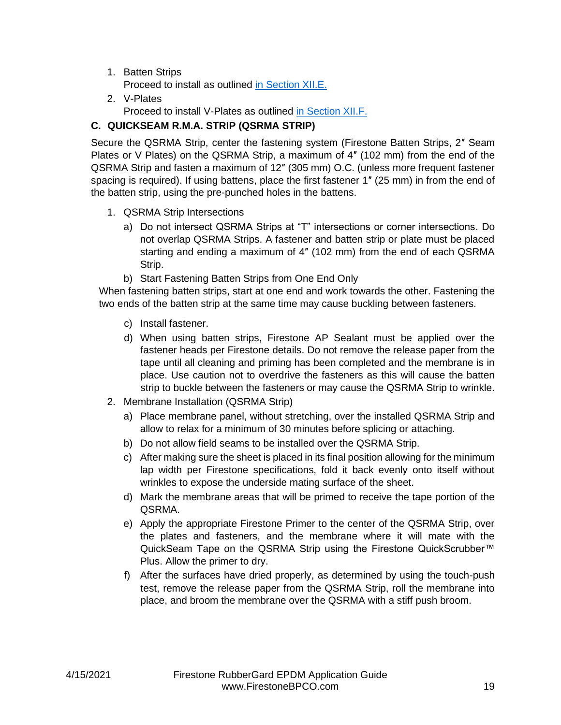1. Batten Strips

Proceed to install as outlined [in Section XII.E.](#page-14-0)

2. V-Plates Proceed to install V-Plates as outlined [in Section XII.F.](#page-16-0)

# <span id="page-19-0"></span>**C. QUICKSEAM R.M.A. STRIP (QSRMA STRIP)**

Secure the QSRMA Strip, center the fastening system (Firestone Batten Strips, 2″ Seam Plates or V Plates) on the QSRMA Strip, a maximum of 4″ (102 mm) from the end of the QSRMA Strip and fasten a maximum of 12″ (305 mm) O.C. (unless more frequent fastener spacing is required). If using battens, place the first fastener 1″ (25 mm) in from the end of the batten strip, using the pre-punched holes in the battens.

- 1. QSRMA Strip Intersections
	- a) Do not intersect QSRMA Strips at "T" intersections or corner intersections. Do not overlap QSRMA Strips. A fastener and batten strip or plate must be placed starting and ending a maximum of 4″ (102 mm) from the end of each QSRMA Strip.
	- b) Start Fastening Batten Strips from One End Only

When fastening batten strips, start at one end and work towards the other. Fastening the two ends of the batten strip at the same time may cause buckling between fasteners.

- c) Install fastener.
- d) When using batten strips, Firestone AP Sealant must be applied over the fastener heads per Firestone details. Do not remove the release paper from the tape until all cleaning and priming has been completed and the membrane is in place. Use caution not to overdrive the fasteners as this will cause the batten strip to buckle between the fasteners or may cause the QSRMA Strip to wrinkle.
- 2. Membrane Installation (QSRMA Strip)
	- a) Place membrane panel, without stretching, over the installed QSRMA Strip and allow to relax for a minimum of 30 minutes before splicing or attaching.
	- b) Do not allow field seams to be installed over the QSRMA Strip.
	- c) After making sure the sheet is placed in its final position allowing for the minimum lap width per Firestone specifications, fold it back evenly onto itself without wrinkles to expose the underside mating surface of the sheet.
	- d) Mark the membrane areas that will be primed to receive the tape portion of the QSRMA.
	- e) Apply the appropriate Firestone Primer to the center of the QSRMA Strip, over the plates and fasteners, and the membrane where it will mate with the QuickSeam Tape on the QSRMA Strip using the Firestone QuickScrubber<sup>™</sup> Plus. Allow the primer to dry.
	- f) After the surfaces have dried properly, as determined by using the touch-push test, remove the release paper from the QSRMA Strip, roll the membrane into place, and broom the membrane over the QSRMA with a stiff push broom.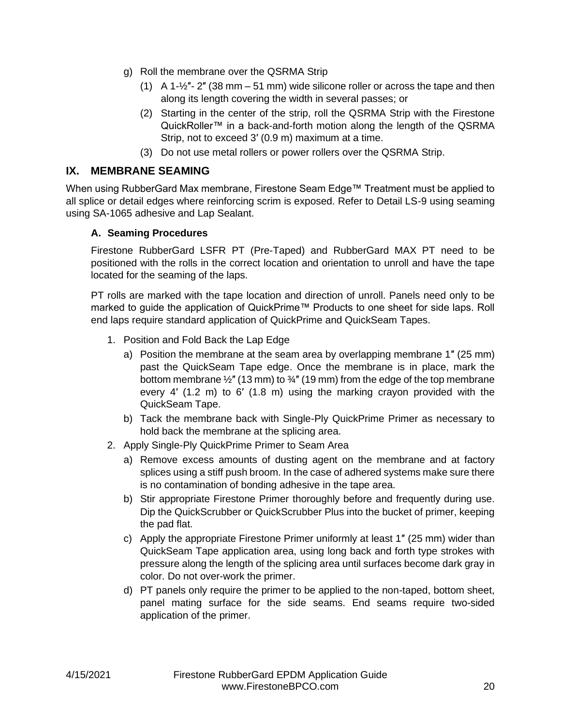- g) Roll the membrane over the QSRMA Strip
	- (1) A 1- $\frac{1}{2}$  2" (38 mm 51 mm) wide silicone roller or across the tape and then along its length covering the width in several passes; or
	- (2) Starting in the center of the strip, roll the QSRMA Strip with the Firestone QuickRoller™ in a back-and-forth motion along the length of the QSRMA Strip, not to exceed 3′ (0.9 m) maximum at a time.
	- (3) Do not use metal rollers or power rollers over the QSRMA Strip.

# <span id="page-20-0"></span>**IX. MEMBRANE SEAMING**

When using RubberGard Max membrane, Firestone Seam Edge™ Treatment must be applied to all splice or detail edges where reinforcing scrim is exposed. Refer to Detail LS-9 using seaming using SA-1065 adhesive and Lap Sealant.

### <span id="page-20-1"></span>**A. Seaming Procedures**

Firestone RubberGard LSFR PT (Pre-Taped) and RubberGard MAX PT need to be positioned with the rolls in the correct location and orientation to unroll and have the tape located for the seaming of the laps.

PT rolls are marked with the tape location and direction of unroll. Panels need only to be marked to guide the application of QuickPrime™ Products to one sheet for side laps. Roll end laps require standard application of QuickPrime and QuickSeam Tapes.

- 1. Position and Fold Back the Lap Edge
	- a) Position the membrane at the seam area by overlapping membrane 1″ (25 mm) past the QuickSeam Tape edge. Once the membrane is in place, mark the bottom membrane  $\frac{1}{2}$ " (13 mm) to  $\frac{3}{4}$ " (19 mm) from the edge of the top membrane every 4′ (1.2 m) to 6′ (1.8 m) using the marking crayon provided with the QuickSeam Tape.
	- b) Tack the membrane back with Single-Ply QuickPrime Primer as necessary to hold back the membrane at the splicing area.
- 2. Apply Single-Ply QuickPrime Primer to Seam Area
	- a) Remove excess amounts of dusting agent on the membrane and at factory splices using a stiff push broom. In the case of adhered systems make sure there is no contamination of bonding adhesive in the tape area.
	- b) Stir appropriate Firestone Primer thoroughly before and frequently during use. Dip the QuickScrubber or QuickScrubber Plus into the bucket of primer, keeping the pad flat.
	- c) Apply the appropriate Firestone Primer uniformly at least 1″ (25 mm) wider than QuickSeam Tape application area, using long back and forth type strokes with pressure along the length of the splicing area until surfaces become dark gray in color. Do not over-work the primer.
	- d) PT panels only require the primer to be applied to the non-taped, bottom sheet, panel mating surface for the side seams. End seams require two-sided application of the primer.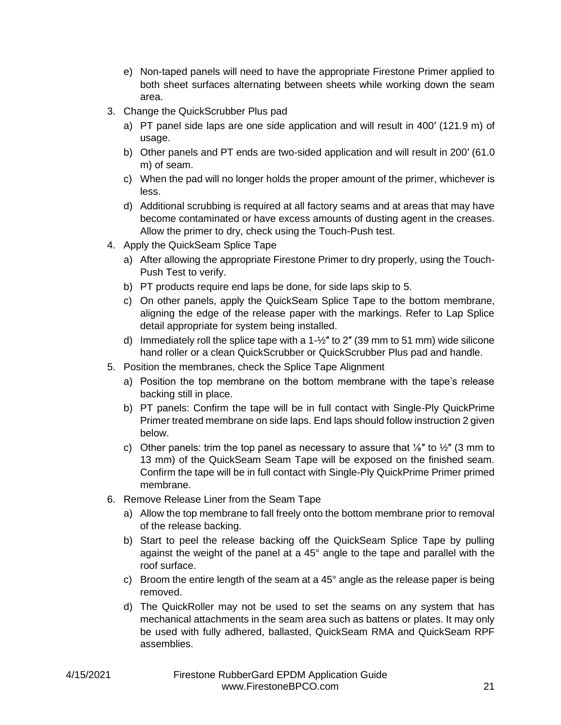- e) Non-taped panels will need to have the appropriate Firestone Primer applied to both sheet surfaces alternating between sheets while working down the seam area.
- 3. Change the QuickScrubber Plus pad
	- a) PT panel side laps are one side application and will result in 400′ (121.9 m) of usage.
	- b) Other panels and PT ends are two-sided application and will result in 200′ (61.0 m) of seam.
	- c) When the pad will no longer holds the proper amount of the primer, whichever is less.
	- d) Additional scrubbing is required at all factory seams and at areas that may have become contaminated or have excess amounts of dusting agent in the creases. Allow the primer to dry, check using the Touch-Push test.
- 4. Apply the QuickSeam Splice Tape
	- a) After allowing the appropriate Firestone Primer to dry properly, using the Touch-Push Test to verify.
	- b) PT products require end laps be done, for side laps skip to 5.
	- c) On other panels, apply the QuickSeam Splice Tape to the bottom membrane, aligning the edge of the release paper with the markings. Refer to Lap Splice detail appropriate for system being installed.
	- d) Immediately roll the splice tape with a  $1-\frac{1}{2}$ " to 2" (39 mm to 51 mm) wide silicone hand roller or a clean QuickScrubber or QuickScrubber Plus pad and handle.
- 5. Position the membranes, check the Splice Tape Alignment
	- a) Position the top membrane on the bottom membrane with the tape's release backing still in place.
	- b) PT panels: Confirm the tape will be in full contact with Single-Ply QuickPrime Primer treated membrane on side laps. End laps should follow instruction 2 given below.
	- c) Other panels: trim the top panel as necessary to assure that  $\frac{1}{8}$ " to  $\frac{1}{2}$ " (3 mm to 13 mm) of the QuickSeam Seam Tape will be exposed on the finished seam. Confirm the tape will be in full contact with Single-Ply QuickPrime Primer primed membrane.
- 6. Remove Release Liner from the Seam Tape
	- a) Allow the top membrane to fall freely onto the bottom membrane prior to removal of the release backing.
	- b) Start to peel the release backing off the QuickSeam Splice Tape by pulling against the weight of the panel at a 45° angle to the tape and parallel with the roof surface.
	- c) Broom the entire length of the seam at a 45° angle as the release paper is being removed.
	- d) The QuickRoller may not be used to set the seams on any system that has mechanical attachments in the seam area such as battens or plates. It may only be used with fully adhered, ballasted, QuickSeam RMA and QuickSeam RPF assemblies.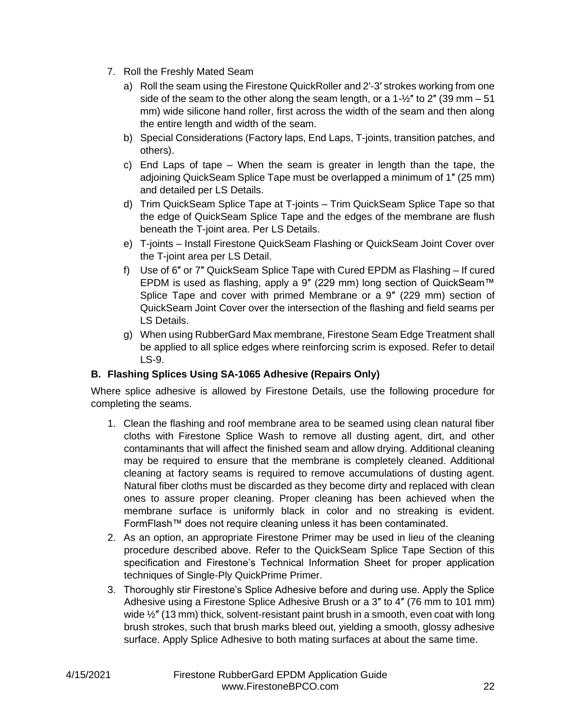- 7. Roll the Freshly Mated Seam
	- a) Roll the seam using the Firestone QuickRoller and 2'-3′ strokes working from one side of the seam to the other along the seam length, or a  $1\frac{1}{2}$ " to 2" (39 mm – 51) mm) wide silicone hand roller, first across the width of the seam and then along the entire length and width of the seam.
	- b) Special Considerations (Factory laps, End Laps, T-joints, transition patches, and others).
	- c) End Laps of tape When the seam is greater in length than the tape, the adjoining QuickSeam Splice Tape must be overlapped a minimum of 1″ (25 mm) and detailed per LS Details.
	- d) Trim QuickSeam Splice Tape at T-joints Trim QuickSeam Splice Tape so that the edge of QuickSeam Splice Tape and the edges of the membrane are flush beneath the T-joint area. Per LS Details.
	- e) T-joints Install Firestone QuickSeam Flashing or QuickSeam Joint Cover over the T-joint area per LS Detail.
	- f) Use of 6″ or 7″ QuickSeam Splice Tape with Cured EPDM as Flashing If cured EPDM is used as flashing, apply a 9″ (229 mm) long section of QuickSeam™ Splice Tape and cover with primed Membrane or a 9″ (229 mm) section of QuickSeam Joint Cover over the intersection of the flashing and field seams per LS Details.
	- g) When using RubberGard Max membrane, Firestone Seam Edge Treatment shall be applied to all splice edges where reinforcing scrim is exposed. Refer to detail LS-9.

# <span id="page-22-0"></span>**B. Flashing Splices Using SA-1065 Adhesive (Repairs Only)**

Where splice adhesive is allowed by Firestone Details, use the following procedure for completing the seams.

- 1. Clean the flashing and roof membrane area to be seamed using clean natural fiber cloths with Firestone Splice Wash to remove all dusting agent, dirt, and other contaminants that will affect the finished seam and allow drying. Additional cleaning may be required to ensure that the membrane is completely cleaned. Additional cleaning at factory seams is required to remove accumulations of dusting agent. Natural fiber cloths must be discarded as they become dirty and replaced with clean ones to assure proper cleaning. Proper cleaning has been achieved when the membrane surface is uniformly black in color and no streaking is evident. FormFlash™ does not require cleaning unless it has been contaminated.
- 2. As an option, an appropriate Firestone Primer may be used in lieu of the cleaning procedure described above. Refer to the QuickSeam Splice Tape Section of this specification and Firestone's Technical Information Sheet for proper application techniques of Single-Ply QuickPrime Primer.
- 3. Thoroughly stir Firestone's Splice Adhesive before and during use. Apply the Splice Adhesive using a Firestone Splice Adhesive Brush or a 3″ to 4″ (76 mm to 101 mm) wide  $\frac{1}{2}$ " (13 mm) thick, solvent-resistant paint brush in a smooth, even coat with long brush strokes, such that brush marks bleed out, yielding a smooth, glossy adhesive surface. Apply Splice Adhesive to both mating surfaces at about the same time.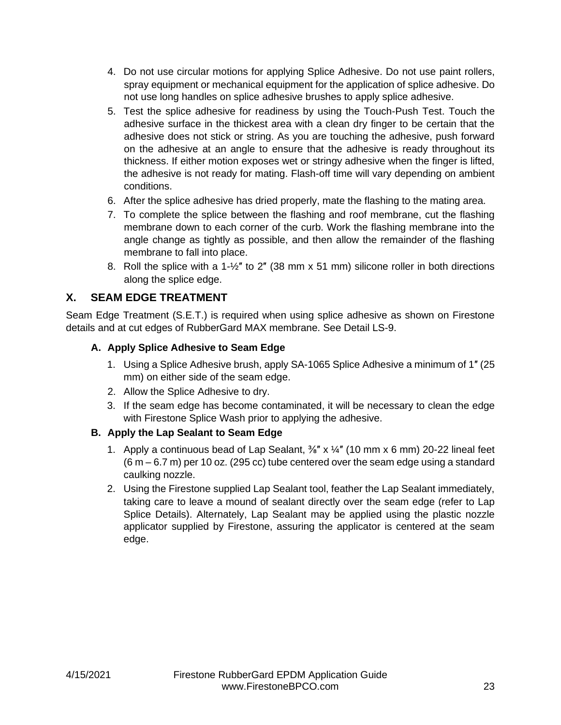- 4. Do not use circular motions for applying Splice Adhesive. Do not use paint rollers, spray equipment or mechanical equipment for the application of splice adhesive. Do not use long handles on splice adhesive brushes to apply splice adhesive.
- 5. Test the splice adhesive for readiness by using the Touch-Push Test. Touch the adhesive surface in the thickest area with a clean dry finger to be certain that the adhesive does not stick or string. As you are touching the adhesive, push forward on the adhesive at an angle to ensure that the adhesive is ready throughout its thickness. If either motion exposes wet or stringy adhesive when the finger is lifted, the adhesive is not ready for mating. Flash-off time will vary depending on ambient conditions.
- 6. After the splice adhesive has dried properly, mate the flashing to the mating area.
- 7. To complete the splice between the flashing and roof membrane, cut the flashing membrane down to each corner of the curb. Work the flashing membrane into the angle change as tightly as possible, and then allow the remainder of the flashing membrane to fall into place.
- 8. Roll the splice with a 1- $\frac{1}{2}$ " to 2" (38 mm x 51 mm) silicone roller in both directions along the splice edge.

# <span id="page-23-0"></span>**X. SEAM EDGE TREATMENT**

Seam Edge Treatment (S.E.T.) is required when using splice adhesive as shown on Firestone details and at cut edges of RubberGard MAX membrane. See Detail LS-9.

### <span id="page-23-1"></span>**A. Apply Splice Adhesive to Seam Edge**

- 1. Using a Splice Adhesive brush, apply SA-1065 Splice Adhesive a minimum of 1″ (25 mm) on either side of the seam edge.
- 2. Allow the Splice Adhesive to dry.
- 3. If the seam edge has become contaminated, it will be necessary to clean the edge with Firestone Splice Wash prior to applying the adhesive.

# <span id="page-23-2"></span>**B. Apply the Lap Sealant to Seam Edge**

- 1. Apply a continuous bead of Lap Sealant,  $\frac{3}{8}$ " x  $\frac{1}{4}$ " (10 mm x 6 mm) 20-22 lineal feet  $(6 m - 6.7 m)$  per 10 oz. (295 cc) tube centered over the seam edge using a standard caulking nozzle.
- 2. Using the Firestone supplied Lap Sealant tool, feather the Lap Sealant immediately, taking care to leave a mound of sealant directly over the seam edge (refer to Lap Splice Details). Alternately, Lap Sealant may be applied using the plastic nozzle applicator supplied by Firestone, assuring the applicator is centered at the seam edge.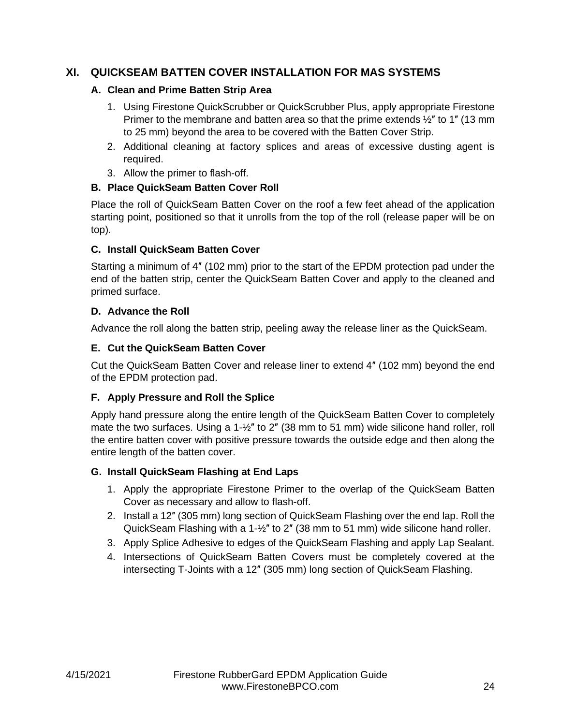# <span id="page-24-1"></span><span id="page-24-0"></span>**XI. QUICKSEAM BATTEN COVER INSTALLATION FOR MAS SYSTEMS**

#### **A. Clean and Prime Batten Strip Area**

- 1. Using Firestone QuickScrubber or QuickScrubber Plus, apply appropriate Firestone Primer to the membrane and batten area so that the prime extends  $\frac{1}{2}$ " to 1" (13 mm to 25 mm) beyond the area to be covered with the Batten Cover Strip.
- 2. Additional cleaning at factory splices and areas of excessive dusting agent is required.
- 3. Allow the primer to flash-off.

### <span id="page-24-2"></span>**B. Place QuickSeam Batten Cover Roll**

Place the roll of QuickSeam Batten Cover on the roof a few feet ahead of the application starting point, positioned so that it unrolls from the top of the roll (release paper will be on top).

### <span id="page-24-3"></span>**C. Install QuickSeam Batten Cover**

Starting a minimum of 4″ (102 mm) prior to the start of the EPDM protection pad under the end of the batten strip, center the QuickSeam Batten Cover and apply to the cleaned and primed surface.

### <span id="page-24-4"></span>**D. Advance the Roll**

Advance the roll along the batten strip, peeling away the release liner as the QuickSeam.

### <span id="page-24-5"></span>**E. Cut the QuickSeam Batten Cover**

Cut the QuickSeam Batten Cover and release liner to extend 4″ (102 mm) beyond the end of the EPDM protection pad.

#### <span id="page-24-6"></span>**F. Apply Pressure and Roll the Splice**

Apply hand pressure along the entire length of the QuickSeam Batten Cover to completely mate the two surfaces. Using a  $1-\frac{1}{2}$ " to 2" (38 mm to 51 mm) wide silicone hand roller, roll the entire batten cover with positive pressure towards the outside edge and then along the entire length of the batten cover.

#### <span id="page-24-7"></span>**G. Install QuickSeam Flashing at End Laps**

- 1. Apply the appropriate Firestone Primer to the overlap of the QuickSeam Batten Cover as necessary and allow to flash-off.
- 2. Install a 12″ (305 mm) long section of QuickSeam Flashing over the end lap. Roll the QuickSeam Flashing with a 1-½″ to 2″ (38 mm to 51 mm) wide silicone hand roller.
- 3. Apply Splice Adhesive to edges of the QuickSeam Flashing and apply Lap Sealant.
- 4. Intersections of QuickSeam Batten Covers must be completely covered at the intersecting T-Joints with a 12″ (305 mm) long section of QuickSeam Flashing.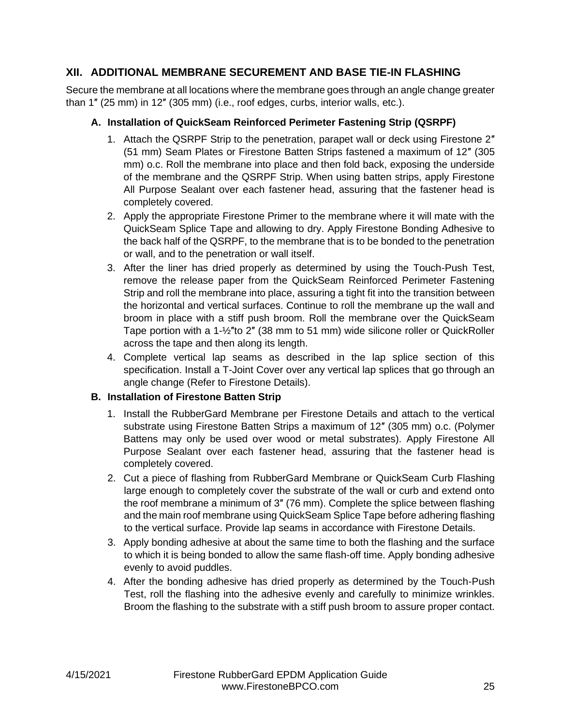# <span id="page-25-0"></span>**XII. ADDITIONAL MEMBRANE SECUREMENT AND BASE TIE-IN FLASHING**

Secure the membrane at all locations where the membrane goes through an angle change greater than 1″ (25 mm) in 12″ (305 mm) (i.e., roof edges, curbs, interior walls, etc.).

#### <span id="page-25-1"></span>**A. Installation of QuickSeam Reinforced Perimeter Fastening Strip (QSRPF)**

- <span id="page-25-3"></span>1. Attach the QSRPF Strip to the penetration, parapet wall or deck using Firestone 2″ (51 mm) Seam Plates or Firestone Batten Strips fastened a maximum of 12″ (305 mm) o.c. Roll the membrane into place and then fold back, exposing the underside of the membrane and the QSRPF Strip. When using batten strips, apply Firestone All Purpose Sealant over each fastener head, assuring that the fastener head is completely covered.
- 2. Apply the appropriate Firestone Primer to the membrane where it will mate with the QuickSeam Splice Tape and allowing to dry. Apply Firestone Bonding Adhesive to the back half of the QSRPF, to the membrane that is to be bonded to the penetration or wall, and to the penetration or wall itself.
- 3. After the liner has dried properly as determined by using the Touch-Push Test, remove the release paper from the QuickSeam Reinforced Perimeter Fastening Strip and roll the membrane into place, assuring a tight fit into the transition between the horizontal and vertical surfaces. Continue to roll the membrane up the wall and broom in place with a stiff push broom. Roll the membrane over the QuickSeam Tape portion with a 1-½″to 2″ (38 mm to 51 mm) wide silicone roller or QuickRoller across the tape and then along its length.
- 4. Complete vertical lap seams as described in the lap splice section of this specification. Install a T-Joint Cover over any vertical lap splices that go through an angle change (Refer to Firestone Details).

# <span id="page-25-2"></span>**B. Installation of Firestone Batten Strip**

- 1. Install the RubberGard Membrane per Firestone Details and attach to the vertical substrate using Firestone Batten Strips a maximum of 12″ (305 mm) o.c. (Polymer Battens may only be used over wood or metal substrates). Apply Firestone All Purpose Sealant over each fastener head, assuring that the fastener head is completely covered.
- 2. Cut a piece of flashing from RubberGard Membrane or QuickSeam Curb Flashing large enough to completely cover the substrate of the wall or curb and extend onto the roof membrane a minimum of 3″ (76 mm). Complete the splice between flashing and the main roof membrane using QuickSeam Splice Tape before adhering flashing to the vertical surface. Provide lap seams in accordance with Firestone Details.
- 3. Apply bonding adhesive at about the same time to both the flashing and the surface to which it is being bonded to allow the same flash-off time. Apply bonding adhesive evenly to avoid puddles.
- 4. After the bonding adhesive has dried properly as determined by the Touch-Push Test, roll the flashing into the adhesive evenly and carefully to minimize wrinkles. Broom the flashing to the substrate with a stiff push broom to assure proper contact.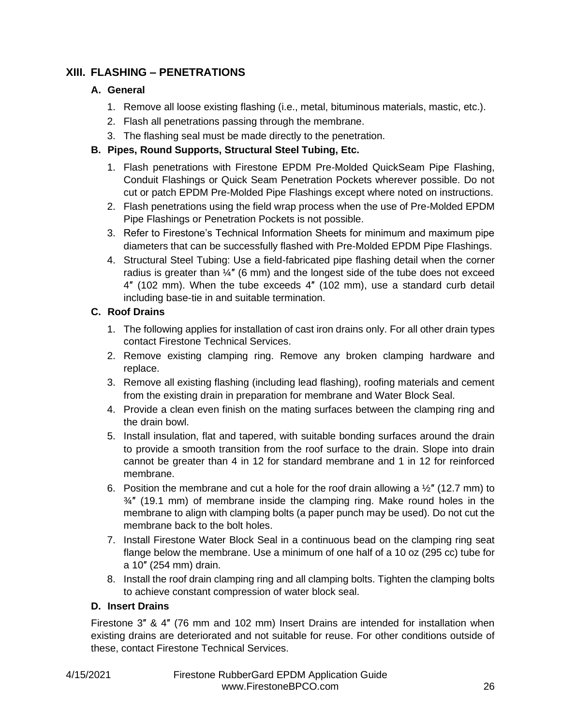# <span id="page-26-1"></span><span id="page-26-0"></span>**XIII. FLASHING – PENETRATIONS**

# **A. General**

- 1. Remove all loose existing flashing (i.e., metal, bituminous materials, mastic, etc.).
- 2. Flash all penetrations passing through the membrane.
- 3. The flashing seal must be made directly to the penetration.

# <span id="page-26-2"></span>**B. Pipes, Round Supports, Structural Steel Tubing, Etc.**

- 1. Flash penetrations with Firestone EPDM Pre-Molded QuickSeam Pipe Flashing, Conduit Flashings or Quick Seam Penetration Pockets wherever possible. Do not cut or patch EPDM Pre-Molded Pipe Flashings except where noted on instructions.
- 2. Flash penetrations using the field wrap process when the use of Pre-Molded EPDM Pipe Flashings or Penetration Pockets is not possible.
- 3. Refer to Firestone's Technical Information Sheets for minimum and maximum pipe diameters that can be successfully flashed with Pre-Molded EPDM Pipe Flashings.
- 4. Structural Steel Tubing: Use a field-fabricated pipe flashing detail when the corner radius is greater than ¼″ (6 mm) and the longest side of the tube does not exceed 4″ (102 mm). When the tube exceeds 4″ (102 mm), use a standard curb detail including base-tie in and suitable termination.

# <span id="page-26-3"></span>**C. Roof Drains**

- 1. The following applies for installation of cast iron drains only. For all other drain types contact Firestone Technical Services.
- 2. Remove existing clamping ring. Remove any broken clamping hardware and replace.
- 3. Remove all existing flashing (including lead flashing), roofing materials and cement from the existing drain in preparation for membrane and Water Block Seal.
- 4. Provide a clean even finish on the mating surfaces between the clamping ring and the drain bowl.
- 5. Install insulation, flat and tapered, with suitable bonding surfaces around the drain to provide a smooth transition from the roof surface to the drain. Slope into drain cannot be greater than 4 in 12 for standard membrane and 1 in 12 for reinforced membrane.
- 6. Position the membrane and cut a hole for the roof drain allowing a  $\frac{1}{2}$ " (12.7 mm) to  $\frac{3}{4}$ " (19.1 mm) of membrane inside the clamping ring. Make round holes in the membrane to align with clamping bolts (a paper punch may be used). Do not cut the membrane back to the bolt holes.
- 7. Install Firestone Water Block Seal in a continuous bead on the clamping ring seat flange below the membrane. Use a minimum of one half of a 10 oz (295 cc) tube for a 10″ (254 mm) drain.
- 8. Install the roof drain clamping ring and all clamping bolts. Tighten the clamping bolts to achieve constant compression of water block seal.

# <span id="page-26-4"></span>**D. Insert Drains**

Firestone 3″ & 4″ (76 mm and 102 mm) Insert Drains are intended for installation when existing drains are deteriorated and not suitable for reuse. For other conditions outside of these, contact Firestone Technical Services.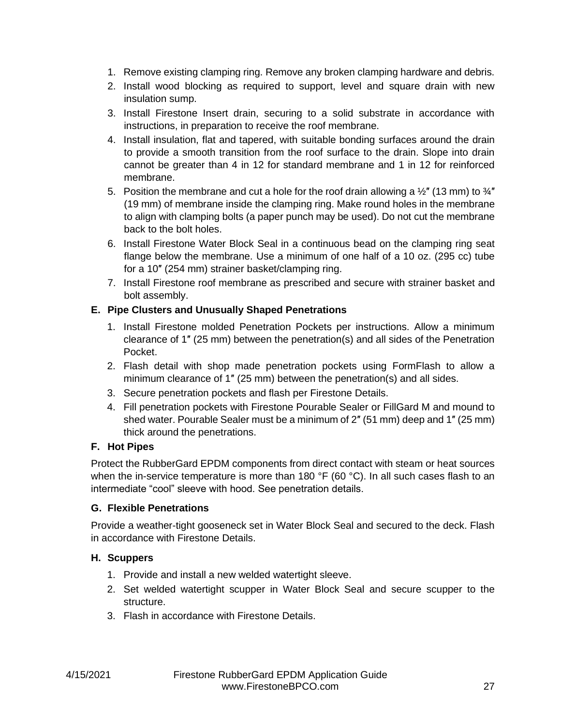- 1. Remove existing clamping ring. Remove any broken clamping hardware and debris.
- 2. Install wood blocking as required to support, level and square drain with new insulation sump.
- 3. Install Firestone Insert drain, securing to a solid substrate in accordance with instructions, in preparation to receive the roof membrane.
- 4. Install insulation, flat and tapered, with suitable bonding surfaces around the drain to provide a smooth transition from the roof surface to the drain. Slope into drain cannot be greater than 4 in 12 for standard membrane and 1 in 12 for reinforced membrane.
- 5. Position the membrane and cut a hole for the roof drain allowing a  $\frac{1}{2}$ " (13 mm) to  $\frac{3}{4}$ " (19 mm) of membrane inside the clamping ring. Make round holes in the membrane to align with clamping bolts (a paper punch may be used). Do not cut the membrane back to the bolt holes.
- 6. Install Firestone Water Block Seal in a continuous bead on the clamping ring seat flange below the membrane. Use a minimum of one half of a 10 oz. (295 cc) tube for a 10″ (254 mm) strainer basket/clamping ring.
- 7. Install Firestone roof membrane as prescribed and secure with strainer basket and bolt assembly.

# <span id="page-27-0"></span>**E. Pipe Clusters and Unusually Shaped Penetrations**

- 1. Install Firestone molded Penetration Pockets per instructions. Allow a minimum clearance of 1″ (25 mm) between the penetration(s) and all sides of the Penetration Pocket.
- 2. Flash detail with shop made penetration pockets using FormFlash to allow a minimum clearance of 1″ (25 mm) between the penetration(s) and all sides.
- 3. Secure penetration pockets and flash per Firestone Details.
- 4. Fill penetration pockets with Firestone Pourable Sealer or FillGard M and mound to shed water. Pourable Sealer must be a minimum of 2″ (51 mm) deep and 1″ (25 mm) thick around the penetrations.

# <span id="page-27-1"></span>**F. Hot Pipes**

Protect the RubberGard EPDM components from direct contact with steam or heat sources when the in-service temperature is more than 180  $\degree$ F (60  $\degree$ C). In all such cases flash to an intermediate "cool" sleeve with hood. See penetration details.

# <span id="page-27-2"></span>**G. Flexible Penetrations**

Provide a weather-tight gooseneck set in Water Block Seal and secured to the deck. Flash in accordance with Firestone Details.

# <span id="page-27-3"></span>**H. Scuppers**

- 1. Provide and install a new welded watertight sleeve.
- 2. Set welded watertight scupper in Water Block Seal and secure scupper to the structure.
- 3. Flash in accordance with Firestone Details.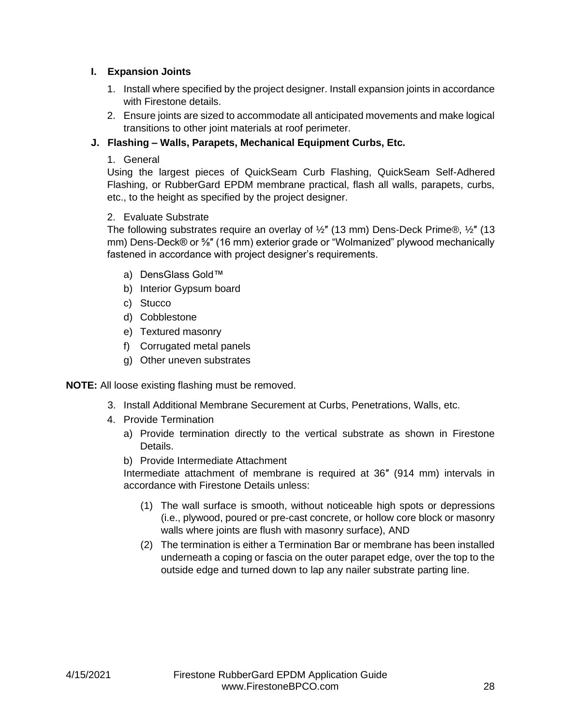#### <span id="page-28-0"></span>**I. Expansion Joints**

- 1. Install where specified by the project designer. Install expansion joints in accordance with Firestone details.
- 2. Ensure joints are sized to accommodate all anticipated movements and make logical transitions to other joint materials at roof perimeter.

# <span id="page-28-1"></span>**J. Flashing – Walls, Parapets, Mechanical Equipment Curbs, Etc.**

1. General

Using the largest pieces of QuickSeam Curb Flashing, QuickSeam Self-Adhered Flashing, or RubberGard EPDM membrane practical, flash all walls, parapets, curbs, etc., to the height as specified by the project designer.

### 2. Evaluate Substrate

The following substrates require an overlay of  $\frac{1}{2}$ " (13 mm) Dens-Deck Prime®,  $\frac{1}{2}$ " (13 mm) Dens-Deck® or <sup>5</sup>%" (16 mm) exterior grade or "Wolmanized" plywood mechanically fastened in accordance with project designer's requirements.

- a) DensGlass Gold™
- b) Interior Gypsum board
- c) Stucco
- d) Cobblestone
- e) Textured masonry
- f) Corrugated metal panels
- g) Other uneven substrates

**NOTE:** All loose existing flashing must be removed.

- 3. Install Additional Membrane Securement at Curbs, Penetrations, Walls, etc.
- 4. Provide Termination
	- a) Provide termination directly to the vertical substrate as shown in Firestone Details.
	- b) Provide Intermediate Attachment

Intermediate attachment of membrane is required at 36″ (914 mm) intervals in accordance with Firestone Details unless:

- (1) The wall surface is smooth, without noticeable high spots or depressions (i.e., plywood, poured or pre-cast concrete, or hollow core block or masonry walls where joints are flush with masonry surface), AND
- (2) The termination is either a Termination Bar or membrane has been installed underneath a coping or fascia on the outer parapet edge, over the top to the outside edge and turned down to lap any nailer substrate parting line.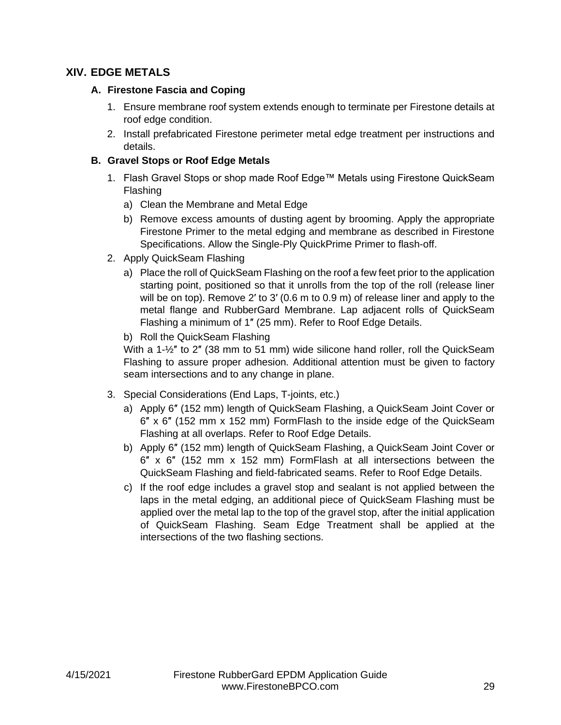# <span id="page-29-1"></span><span id="page-29-0"></span>**XIV. EDGE METALS**

#### **A. Firestone Fascia and Coping**

- 1. Ensure membrane roof system extends enough to terminate per Firestone details at roof edge condition.
- 2. Install prefabricated Firestone perimeter metal edge treatment per instructions and details.

### <span id="page-29-2"></span>**B. Gravel Stops or Roof Edge Metals**

- 1. Flash Gravel Stops or shop made Roof Edge™ Metals using Firestone QuickSeam Flashing
	- a) Clean the Membrane and Metal Edge
	- b) Remove excess amounts of dusting agent by brooming. Apply the appropriate Firestone Primer to the metal edging and membrane as described in Firestone Specifications. Allow the Single-Ply QuickPrime Primer to flash-off.
- 2. Apply QuickSeam Flashing
	- a) Place the roll of QuickSeam Flashing on the roof a few feet prior to the application starting point, positioned so that it unrolls from the top of the roll (release liner will be on top). Remove 2′ to 3′ (0.6 m to 0.9 m) of release liner and apply to the metal flange and RubberGard Membrane. Lap adjacent rolls of QuickSeam Flashing a minimum of 1″ (25 mm). Refer to Roof Edge Details.
	- b) Roll the QuickSeam Flashing

With a 1- $\frac{1}{2}$ " to 2" (38 mm to 51 mm) wide silicone hand roller, roll the QuickSeam Flashing to assure proper adhesion. Additional attention must be given to factory seam intersections and to any change in plane.

- 3. Special Considerations (End Laps, T-joints, etc.)
	- a) Apply 6″ (152 mm) length of QuickSeam Flashing, a QuickSeam Joint Cover or 6″ x 6″ (152 mm x 152 mm) FormFlash to the inside edge of the QuickSeam Flashing at all overlaps. Refer to Roof Edge Details.
	- b) Apply 6″ (152 mm) length of QuickSeam Flashing, a QuickSeam Joint Cover or 6″ x 6″ (152 mm x 152 mm) FormFlash at all intersections between the QuickSeam Flashing and field-fabricated seams. Refer to Roof Edge Details.
	- c) If the roof edge includes a gravel stop and sealant is not applied between the laps in the metal edging, an additional piece of QuickSeam Flashing must be applied over the metal lap to the top of the gravel stop, after the initial application of QuickSeam Flashing. Seam Edge Treatment shall be applied at the intersections of the two flashing sections.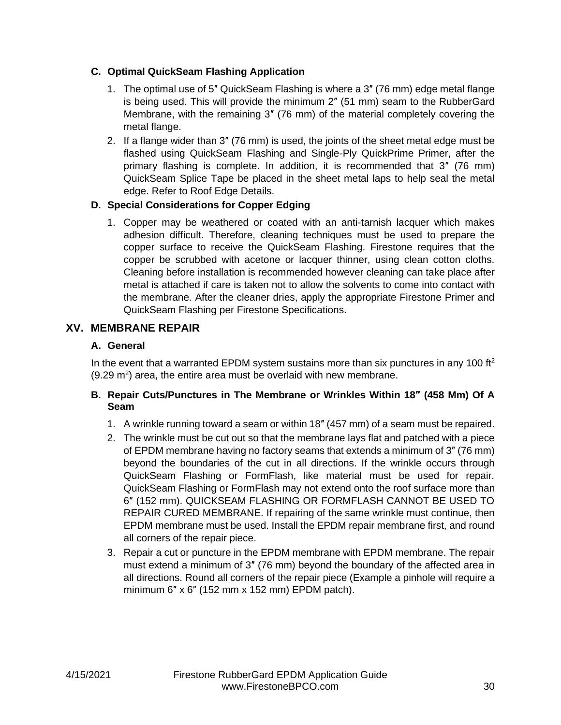# <span id="page-30-0"></span>**C. Optimal QuickSeam Flashing Application**

- 1. The optimal use of 5″ QuickSeam Flashing is where a 3″ (76 mm) edge metal flange is being used. This will provide the minimum 2″ (51 mm) seam to the RubberGard Membrane, with the remaining 3″ (76 mm) of the material completely covering the metal flange.
- 2. If a flange wider than 3″ (76 mm) is used, the joints of the sheet metal edge must be flashed using QuickSeam Flashing and Single-Ply QuickPrime Primer, after the primary flashing is complete. In addition, it is recommended that 3″ (76 mm) QuickSeam Splice Tape be placed in the sheet metal laps to help seal the metal edge. Refer to Roof Edge Details.

### <span id="page-30-1"></span>**D. Special Considerations for Copper Edging**

1. Copper may be weathered or coated with an anti-tarnish lacquer which makes adhesion difficult. Therefore, cleaning techniques must be used to prepare the copper surface to receive the QuickSeam Flashing. Firestone requires that the copper be scrubbed with acetone or lacquer thinner, using clean cotton cloths. Cleaning before installation is recommended however cleaning can take place after metal is attached if care is taken not to allow the solvents to come into contact with the membrane. After the cleaner dries, apply the appropriate Firestone Primer and QuickSeam Flashing per Firestone Specifications.

# <span id="page-30-3"></span><span id="page-30-2"></span>**XV. MEMBRANE REPAIR**

#### **A. General**

In the event that a warranted EPDM system sustains more than six punctures in any 100 ft<sup>2</sup>  $(9.29 \text{ m}^2)$  area, the entire area must be overlaid with new membrane.

### <span id="page-30-4"></span>**B. Repair Cuts/Punctures in The Membrane or Wrinkles Within 18″ (458 Mm) Of A Seam**

- 1. A wrinkle running toward a seam or within 18″ (457 mm) of a seam must be repaired.
- 2. The wrinkle must be cut out so that the membrane lays flat and patched with a piece of EPDM membrane having no factory seams that extends a minimum of 3″ (76 mm) beyond the boundaries of the cut in all directions. If the wrinkle occurs through QuickSeam Flashing or FormFlash, like material must be used for repair. QuickSeam Flashing or FormFlash may not extend onto the roof surface more than 6″ (152 mm). QUICKSEAM FLASHING OR FORMFLASH CANNOT BE USED TO REPAIR CURED MEMBRANE. If repairing of the same wrinkle must continue, then EPDM membrane must be used. Install the EPDM repair membrane first, and round all corners of the repair piece.
- 3. Repair a cut or puncture in the EPDM membrane with EPDM membrane. The repair must extend a minimum of 3″ (76 mm) beyond the boundary of the affected area in all directions. Round all corners of the repair piece (Example a pinhole will require a minimum 6″ x 6″ (152 mm x 152 mm) EPDM patch).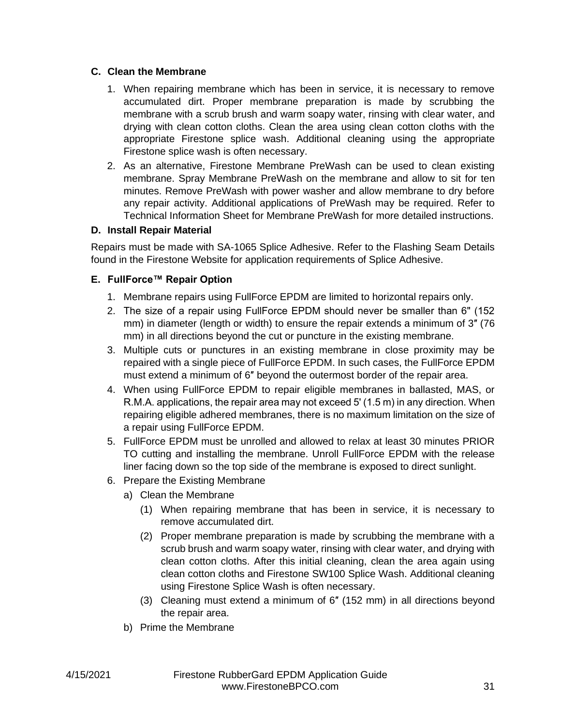#### <span id="page-31-0"></span>**C. Clean the Membrane**

- 1. When repairing membrane which has been in service, it is necessary to remove accumulated dirt. Proper membrane preparation is made by scrubbing the membrane with a scrub brush and warm soapy water, rinsing with clear water, and drying with clean cotton cloths. Clean the area using clean cotton cloths with the appropriate Firestone splice wash. Additional cleaning using the appropriate Firestone splice wash is often necessary.
- 2. As an alternative, Firestone Membrane PreWash can be used to clean existing membrane. Spray Membrane PreWash on the membrane and allow to sit for ten minutes. Remove PreWash with power washer and allow membrane to dry before any repair activity. Additional applications of PreWash may be required. Refer to Technical Information Sheet for Membrane PreWash for more detailed instructions.

# <span id="page-31-1"></span>**D. Install Repair Material**

Repairs must be made with SA-1065 Splice Adhesive. Refer to the Flashing Seam Details found in the Firestone Website for application requirements of Splice Adhesive.

# <span id="page-31-2"></span>**E. FullForce™ Repair Option**

- 1. Membrane repairs using FullForce EPDM are limited to horizontal repairs only.
- 2. The size of a repair using FullForce EPDM should never be smaller than 6" (152) mm) in diameter (length or width) to ensure the repair extends a minimum of 3″ (76 mm) in all directions beyond the cut or puncture in the existing membrane.
- 3. Multiple cuts or punctures in an existing membrane in close proximity may be repaired with a single piece of FullForce EPDM. In such cases, the FullForce EPDM must extend a minimum of 6″ beyond the outermost border of the repair area.
- 4. When using FullForce EPDM to repair eligible membranes in ballasted, MAS, or R.M.A. applications, the repair area may not exceed 5ʹ (1.5 m) in any direction. When repairing eligible adhered membranes, there is no maximum limitation on the size of a repair using FullForce EPDM.
- 5. FullForce EPDM must be unrolled and allowed to relax at least 30 minutes PRIOR TO cutting and installing the membrane. Unroll FullForce EPDM with the release liner facing down so the top side of the membrane is exposed to direct sunlight.
- 6. Prepare the Existing Membrane
	- a) Clean the Membrane
		- (1) When repairing membrane that has been in service, it is necessary to remove accumulated dirt.
		- (2) Proper membrane preparation is made by scrubbing the membrane with a scrub brush and warm soapy water, rinsing with clear water, and drying with clean cotton cloths. After this initial cleaning, clean the area again using clean cotton cloths and Firestone SW100 Splice Wash. Additional cleaning using Firestone Splice Wash is often necessary.
		- (3) Cleaning must extend a minimum of 6″ (152 mm) in all directions beyond the repair area.
	- b) Prime the Membrane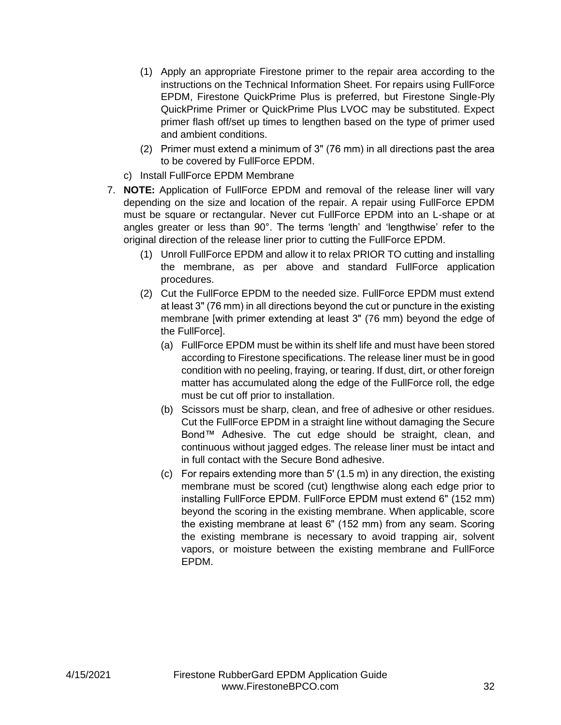- (1) Apply an appropriate Firestone primer to the repair area according to the instructions on the Technical Information Sheet. For repairs using FullForce EPDM, Firestone QuickPrime Plus is preferred, but Firestone Single-Ply QuickPrime Primer or QuickPrime Plus LVOC may be substituted. Expect primer flash off/set up times to lengthen based on the type of primer used and ambient conditions.
- (2) Primer must extend a minimum of 3ʺ (76 mm) in all directions past the area to be covered by FullForce EPDM.
- c) Install FullForce EPDM Membrane
- 7. **NOTE:** Application of FullForce EPDM and removal of the release liner will vary depending on the size and location of the repair. A repair using FullForce EPDM must be square or rectangular. Never cut FullForce EPDM into an L-shape or at angles greater or less than 90°. The terms 'length' and 'lengthwise' refer to the original direction of the release liner prior to cutting the FullForce EPDM.
	- (1) Unroll FullForce EPDM and allow it to relax PRIOR TO cutting and installing the membrane, as per above and standard FullForce application procedures.
	- (2) Cut the FullForce EPDM to the needed size. FullForce EPDM must extend at least 3ʺ (76 mm) in all directions beyond the cut or puncture in the existing membrane [with primer extending at least 3" (76 mm) beyond the edge of the FullForce].
		- (a) FullForce EPDM must be within its shelf life and must have been stored according to Firestone specifications. The release liner must be in good condition with no peeling, fraying, or tearing. If dust, dirt, or other foreign matter has accumulated along the edge of the FullForce roll, the edge must be cut off prior to installation.
		- (b) Scissors must be sharp, clean, and free of adhesive or other residues. Cut the FullForce EPDM in a straight line without damaging the Secure Bond™ Adhesive. The cut edge should be straight, clean, and continuous without jagged edges. The release liner must be intact and in full contact with the Secure Bond adhesive.
		- (c) For repairs extending more than 5ʹ (1.5 m) in any direction, the existing membrane must be scored (cut) lengthwise along each edge prior to installing FullForce EPDM. FullForce EPDM must extend 6" (152 mm) beyond the scoring in the existing membrane. When applicable, score the existing membrane at least 6" (152 mm) from any seam. Scoring the existing membrane is necessary to avoid trapping air, solvent vapors, or moisture between the existing membrane and FullForce EPDM.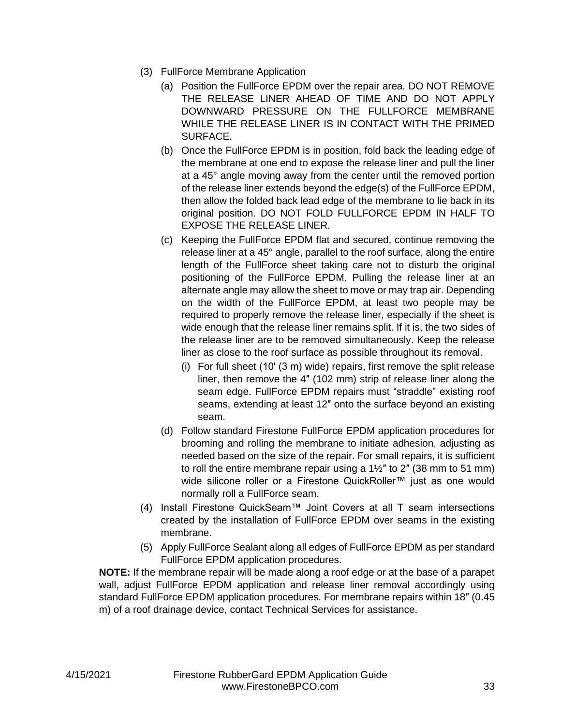- (3) FullForce Membrane Application
	- (a) Position the FullForce EPDM over the repair area. DO NOT REMOVE THE RELEASE LINER AHEAD OF TIME AND DO NOT APPLY DOWNWARD PRESSURE ON THE FULLFORCE MEMBRANE WHILE THE RELEASE LINER IS IN CONTACT WITH THE PRIMED SURFACE.
	- (b) Once the FullForce EPDM is in position, fold back the leading edge of the membrane at one end to expose the release liner and pull the liner at a 45° angle moving away from the center until the removed portion of the release liner extends beyond the edge(s) of the FullForce EPDM, then allow the folded back lead edge of the membrane to lie back in its original position. DO NOT FOLD FULLFORCE EPDM IN HALF TO EXPOSE THE RELEASE LINER.
	- (c) Keeping the FullForce EPDM flat and secured, continue removing the release liner at a 45° angle, parallel to the roof surface, along the entire length of the FullForce sheet taking care not to disturb the original positioning of the FullForce EPDM. Pulling the release liner at an alternate angle may allow the sheet to move or may trap air. Depending on the width of the FullForce EPDM, at least two people may be required to properly remove the release liner, especially if the sheet is wide enough that the release liner remains split. If it is, the two sides of the release liner are to be removed simultaneously. Keep the release liner as close to the roof surface as possible throughout its removal.
		- (i) For full sheet (10ʹ (3 m) wide) repairs, first remove the split release liner, then remove the 4″ (102 mm) strip of release liner along the seam edge. FullForce EPDM repairs must "straddle" existing roof seams, extending at least 12″ onto the surface beyond an existing seam.
	- (d) Follow standard Firestone FullForce EPDM application procedures for brooming and rolling the membrane to initiate adhesion, adjusting as needed based on the size of the repair. For small repairs, it is sufficient to roll the entire membrane repair using a  $1\frac{1}{2}$ " to 2" (38 mm to 51 mm) wide silicone roller or a Firestone QuickRoller™ just as one would normally roll a FullForce seam.
- (4) Install Firestone QuickSeam™ Joint Covers at all T seam intersections created by the installation of FullForce EPDM over seams in the existing membrane.
- (5) Apply FullForce Sealant along all edges of FullForce EPDM as per standard FullForce EPDM application procedures.

**NOTE:** If the membrane repair will be made along a roof edge or at the base of a parapet wall, adjust FullForce EPDM application and release liner removal accordingly using standard FullForce EPDM application procedures. For membrane repairs within 18″ (0.45 m) of a roof drainage device, contact Technical Services for assistance.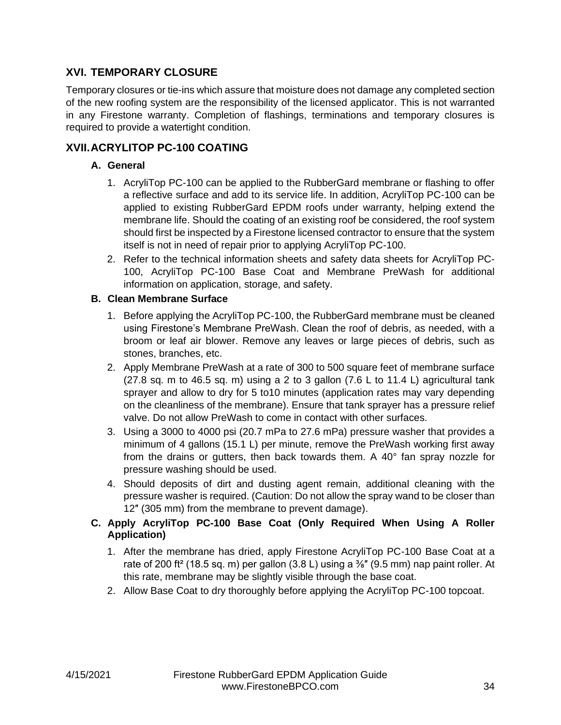# <span id="page-34-0"></span>**XVI. TEMPORARY CLOSURE**

Temporary closures or tie-ins which assure that moisture does not damage any completed section of the new roofing system are the responsibility of the licensed applicator. This is not warranted in any Firestone warranty. Completion of flashings, terminations and temporary closures is required to provide a watertight condition.

# <span id="page-34-2"></span><span id="page-34-1"></span>**XVII.ACRYLITOP PC-100 COATING**

# **A. General**

- 1. AcryliTop PC-100 can be applied to the RubberGard membrane or flashing to offer a reflective surface and add to its service life. In addition, AcryliTop PC-100 can be applied to existing RubberGard EPDM roofs under warranty, helping extend the membrane life. Should the coating of an existing roof be considered, the roof system should first be inspected by a Firestone licensed contractor to ensure that the system itself is not in need of repair prior to applying AcryliTop PC-100.
- 2. Refer to the technical information sheets and safety data sheets for AcryliTop PC-100, AcryliTop PC-100 Base Coat and Membrane PreWash for additional information on application, storage, and safety.

#### <span id="page-34-3"></span>**B. Clean Membrane Surface**

- 1. Before applying the AcryliTop PC-100, the RubberGard membrane must be cleaned using Firestone's Membrane PreWash. Clean the roof of debris, as needed, with a broom or leaf air blower. Remove any leaves or large pieces of debris, such as stones, branches, etc.
- 2. Apply Membrane PreWash at a rate of 300 to 500 square feet of membrane surface  $(27.8$  sq. m to 46.5 sq. m) using a 2 to 3 gallon  $(7.6 \text{ L}$  to 11.4 L) agricultural tank sprayer and allow to dry for 5 to10 minutes (application rates may vary depending on the cleanliness of the membrane). Ensure that tank sprayer has a pressure relief valve. Do not allow PreWash to come in contact with other surfaces.
- 3. Using a 3000 to 4000 psi (20.7 mPa to 27.6 mPa) pressure washer that provides a minimum of 4 gallons (15.1 L) per minute, remove the PreWash working first away from the drains or gutters, then back towards them. A 40° fan spray nozzle for pressure washing should be used.
- 4. Should deposits of dirt and dusting agent remain, additional cleaning with the pressure washer is required. (Caution: Do not allow the spray wand to be closer than 12″ (305 mm) from the membrane to prevent damage).

# <span id="page-34-4"></span>**C. Apply AcryliTop PC-100 Base Coat (Only Required When Using A Roller Application)**

- 1. After the membrane has dried, apply Firestone AcryliTop PC-100 Base Coat at a rate of 200 ft<sup>2</sup> (18.5 sq. m) per gallon (3.8 L) using a  $\frac{3}{8}$ " (9.5 mm) nap paint roller. At this rate, membrane may be slightly visible through the base coat.
- 2. Allow Base Coat to dry thoroughly before applying the AcryliTop PC-100 topcoat.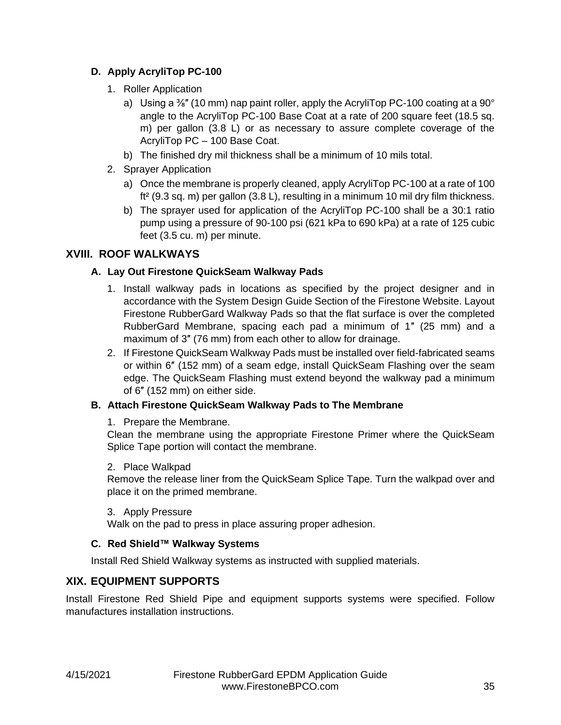# <span id="page-35-0"></span>**D. Apply AcryliTop PC-100**

- 1. Roller Application
	- a) Using a  $\frac{3}{8}$ " (10 mm) nap paint roller, apply the AcryliTop PC-100 coating at a 90 $^{\circ}$ angle to the AcryliTop PC-100 Base Coat at a rate of 200 square feet (18.5 sq. m) per gallon (3.8 L) or as necessary to assure complete coverage of the AcryliTop PC – 100 Base Coat.
	- b) The finished dry mil thickness shall be a minimum of 10 mils total.
- 2. Sprayer Application
	- a) Once the membrane is properly cleaned, apply AcryliTop PC-100 at a rate of 100 ft² (9.3 sq. m) per gallon (3.8 L), resulting in a minimum 10 mil dry film thickness.
	- b) The sprayer used for application of the AcryliTop PC-100 shall be a 30:1 ratio pump using a pressure of 90-100 psi (621 kPa to 690 kPa) at a rate of 125 cubic feet (3.5 cu. m) per minute.

# <span id="page-35-2"></span><span id="page-35-1"></span>**XVIII. ROOF WALKWAYS**

# **A. Lay Out Firestone QuickSeam Walkway Pads**

- 1. Install walkway pads in locations as specified by the project designer and in accordance with the System Design Guide Section of the Firestone Website. Layout Firestone RubberGard Walkway Pads so that the flat surface is over the completed RubberGard Membrane, spacing each pad a minimum of 1″ (25 mm) and a maximum of 3″ (76 mm) from each other to allow for drainage.
- 2. If Firestone QuickSeam Walkway Pads must be installed over field-fabricated seams or within 6″ (152 mm) of a seam edge, install QuickSeam Flashing over the seam edge. The QuickSeam Flashing must extend beyond the walkway pad a minimum of 6″ (152 mm) on either side.

# <span id="page-35-3"></span>**B. Attach Firestone QuickSeam Walkway Pads to The Membrane**

# 1. Prepare the Membrane.

Clean the membrane using the appropriate Firestone Primer where the QuickSeam Splice Tape portion will contact the membrane.

# 2. Place Walkpad

Remove the release liner from the QuickSeam Splice Tape. Turn the walkpad over and place it on the primed membrane.

# 3. Apply Pressure

Walk on the pad to press in place assuring proper adhesion.

# <span id="page-35-4"></span>**C. Red Shield™ Walkway Systems**

Install Red Shield Walkway systems as instructed with supplied materials.

# <span id="page-35-5"></span>**XIX. EQUIPMENT SUPPORTS**

Install Firestone Red Shield Pipe and equipment supports systems were specified. Follow manufactures installation instructions.